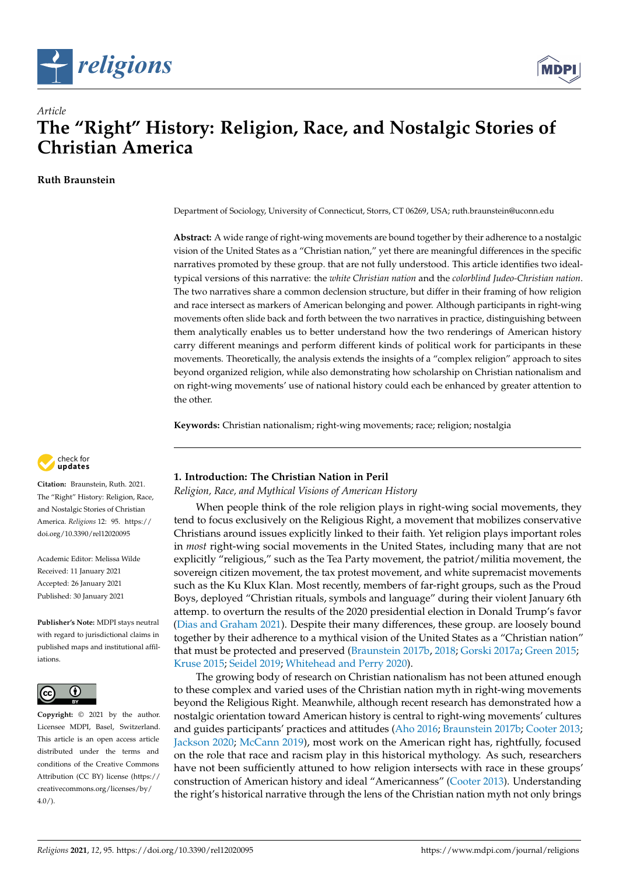



# *Article* **The "Right" History: Religion, Race, and Nostalgic Stories of Christian America**

**Ruth Braunstein**

Department of Sociology, University of Connecticut, Storrs, CT 06269, USA; ruth.braunstein@uconn.edu

**Abstract:** A wide range of right-wing movements are bound together by their adherence to a nostalgic vision of the United States as a "Christian nation," yet there are meaningful differences in the specific narratives promoted by these group. that are not fully understood. This article identifies two idealtypical versions of this narrative: the *white Christian nation* and the *colorblind Judeo-Christian nation*. The two narratives share a common declension structure, but differ in their framing of how religion and race intersect as markers of American belonging and power. Although participants in right-wing movements often slide back and forth between the two narratives in practice, distinguishing between them analytically enables us to better understand how the two renderings of American history carry different meanings and perform different kinds of political work for participants in these movements. Theoretically, the analysis extends the insights of a "complex religion" approach to sites beyond organized religion, while also demonstrating how scholarship on Christian nationalism and on right-wing movements' use of national history could each be enhanced by greater attention to the other.

**Keywords:** Christian nationalism; right-wing movements; race; religion; nostalgia



**Citation:** Braunstein, Ruth. 2021. The "Right" History: Religion, Race, and Nostalgic Stories of Christian America. *Religions* 12: 95. [https://](https://doi.org/10.3390/rel12020095) [doi.org/10.3390/rel12020095](https://doi.org/10.3390/rel12020095)

Academic Editor: Melissa Wilde Received: 11 January 2021 Accepted: 26 January 2021 Published: 30 January 2021

**Publisher's Note:** MDPI stays neutral with regard to jurisdictional claims in published maps and institutional affiliations.



**Copyright:** © 2021 by the author. Licensee MDPI, Basel, Switzerland. This article is an open access article distributed under the terms and conditions of the Creative Commons Attribution (CC BY) license (https:/[/](https://creativecommons.org/licenses/by/4.0/) [creativecommons.org/licenses/by/](https://creativecommons.org/licenses/by/4.0/) 4.0/).

# **1. Introduction: The Christian Nation in Peril**

*Religion, Race, and Mythical Visions of American History*

When people think of the role religion plays in right-wing social movements, they tend to focus exclusively on the Religious Right, a movement that mobilizes conservative Christians around issues explicitly linked to their faith. Yet religion plays important roles in *most* right-wing social movements in the United States, including many that are not explicitly "religious," such as the Tea Party movement, the patriot/militia movement, the sovereign citizen movement, the tax protest movement, and white supremacist movements such as the Ku Klux Klan. Most recently, members of far-right groups, such as the Proud Boys, deployed "Christian rituals, symbols and language" during their violent January 6th attemp. to overturn the results of the 2020 presidential election in Donald Trump's favor [\(Dias and Graham](#page-18-0) [2021\)](#page-18-0). Despite their many differences, these group. are loosely bound together by their adherence to a mythical vision of the United States as a "Christian nation" that must be protected and preserved [\(Braunstein](#page-18-1) [2017b,](#page-18-1) [2018;](#page-18-2) [Gorski](#page-18-3) [2017a;](#page-18-3) [Green](#page-18-4) [2015;](#page-18-4) [Kruse](#page-19-0) [2015;](#page-19-0) [Seidel](#page-20-0) [2019;](#page-20-0) [Whitehead and Perry](#page-20-1) [2020\)](#page-20-1).

The growing body of research on Christian nationalism has not been attuned enough to these complex and varied uses of the Christian nation myth in right-wing movements beyond the Religious Right. Meanwhile, although recent research has demonstrated how a nostalgic orientation toward American history is central to right-wing movements' cultures and guides participants' practices and attitudes [\(Aho](#page-17-0) [2016;](#page-17-0) [Braunstein](#page-18-1) [2017b;](#page-18-1) [Cooter](#page-18-5) [2013;](#page-18-5) [Jackson](#page-19-1) [2020;](#page-19-1) [McCann](#page-19-2) [2019\)](#page-19-2), most work on the American right has, rightfully, focused on the role that race and racism play in this historical mythology. As such, researchers have not been sufficiently attuned to how religion intersects with race in these groups' construction of American history and ideal "Americanness" [\(Cooter](#page-18-5) [2013\)](#page-18-5). Understanding the right's historical narrative through the lens of the Christian nation myth not only brings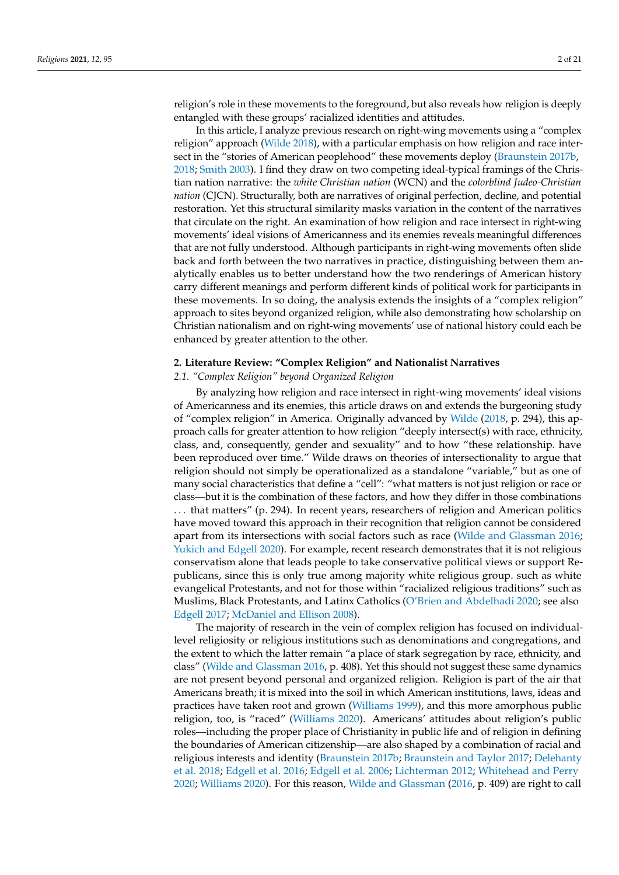religion's role in these movements to the foreground, but also reveals how religion is deeply entangled with these groups' racialized identities and attitudes.

In this article, I analyze previous research on right-wing movements using a "complex religion" approach [\(Wilde](#page-20-2) [2018\)](#page-20-2), with a particular emphasis on how religion and race intersect in the "stories of American peoplehood" these movements deploy [\(Braunstein](#page-18-1) [2017b,](#page-18-1) [2018;](#page-18-2) [Smith](#page-20-3) [2003\)](#page-20-3). I find they draw on two competing ideal-typical framings of the Christian nation narrative: the *white Christian nation* (WCN) and the *colorblind Judeo-Christian nation* (CJCN). Structurally, both are narratives of original perfection, decline, and potential restoration. Yet this structural similarity masks variation in the content of the narratives that circulate on the right. An examination of how religion and race intersect in right-wing movements' ideal visions of Americanness and its enemies reveals meaningful differences that are not fully understood. Although participants in right-wing movements often slide back and forth between the two narratives in practice, distinguishing between them analytically enables us to better understand how the two renderings of American history carry different meanings and perform different kinds of political work for participants in these movements. In so doing, the analysis extends the insights of a "complex religion" approach to sites beyond organized religion, while also demonstrating how scholarship on Christian nationalism and on right-wing movements' use of national history could each be enhanced by greater attention to the other.

#### **2. Literature Review: "Complex Religion" and Nationalist Narratives**

*2.1. "Complex Religion" beyond Organized Religion*

By analyzing how religion and race intersect in right-wing movements' ideal visions of Americanness and its enemies, this article draws on and extends the burgeoning study of "complex religion" in America. Originally advanced by [Wilde](#page-20-2) [\(2018,](#page-20-2) p. 294), this approach calls for greater attention to how religion "deeply intersect(s) with race, ethnicity, class, and, consequently, gender and sexuality" and to how "these relationship. have been reproduced over time." Wilde draws on theories of intersectionality to argue that religion should not simply be operationalized as a standalone "variable," but as one of many social characteristics that define a "cell": "what matters is not just religion or race or class—but it is the combination of these factors, and how they differ in those combinations . . . that matters" (p. 294). In recent years, researchers of religion and American politics have moved toward this approach in their recognition that religion cannot be considered apart from its intersections with social factors such as race [\(Wilde and Glassman](#page-20-4) [2016;](#page-20-4) [Yukich and Edgell](#page-20-5) [2020\)](#page-20-5). For example, recent research demonstrates that it is not religious conservatism alone that leads people to take conservative political views or support Republicans, since this is only true among majority white religious group. such as white evangelical Protestants, and not for those within "racialized religious traditions" such as Muslims, Black Protestants, and Latinx Catholics [\(O'Brien and Abdelhadi](#page-20-6) [2020;](#page-20-6) see also [Edgell](#page-18-6) [2017;](#page-18-6) [McDaniel and Ellison](#page-19-3) [2008\)](#page-19-3).

The majority of research in the vein of complex religion has focused on individuallevel religiosity or religious institutions such as denominations and congregations, and the extent to which the latter remain "a place of stark segregation by race, ethnicity, and class" [\(Wilde and Glassman](#page-20-4) [2016,](#page-20-4) p. 408). Yet this should not suggest these same dynamics are not present beyond personal and organized religion. Religion is part of the air that Americans breath; it is mixed into the soil in which American institutions, laws, ideas and practices have taken root and grown [\(Williams](#page-20-7) [1999\)](#page-20-7), and this more amorphous public religion, too, is "raced" [\(Williams](#page-20-8) [2020\)](#page-20-8). Americans' attitudes about religion's public roles—including the proper place of Christianity in public life and of religion in defining the boundaries of American citizenship—are also shaped by a combination of racial and religious interests and identity [\(Braunstein](#page-18-1) [2017b;](#page-18-1) [Braunstein and Taylor](#page-18-7) [2017;](#page-18-7) [Delehanty](#page-18-8) [et al.](#page-18-8) [2018;](#page-18-8) [Edgell et al.](#page-18-9) [2016;](#page-18-9) [Edgell et al.](#page-18-10) [2006;](#page-18-10) [Lichterman](#page-19-4) [2012;](#page-19-4) [Whitehead and Perry](#page-20-1) [2020;](#page-20-1) [Williams](#page-20-8) [2020\)](#page-20-8). For this reason, [Wilde and Glassman](#page-20-4) [\(2016,](#page-20-4) p. 409) are right to call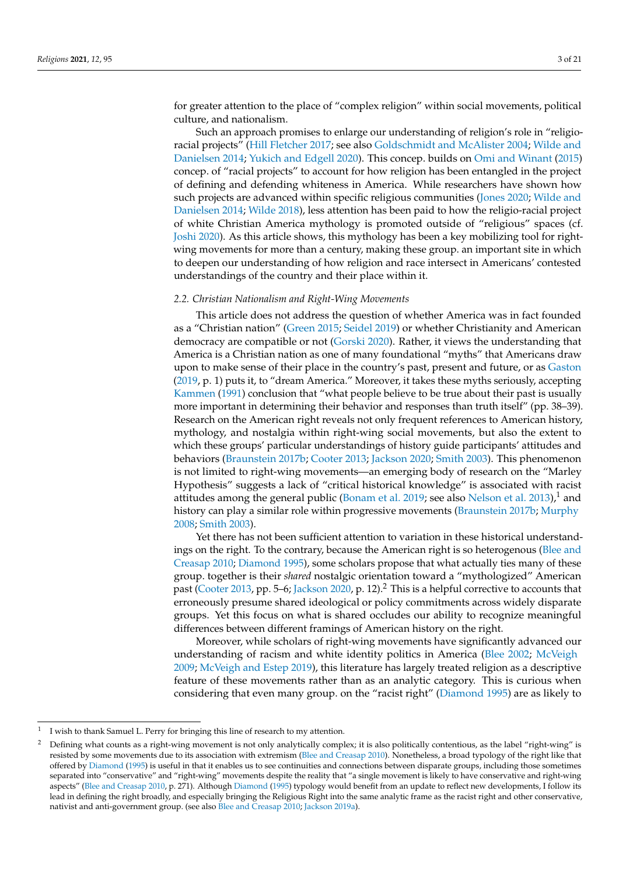for greater attention to the place of "complex religion" within social movements, political culture, and nationalism.

Such an approach promises to enlarge our understanding of religion's role in "religioracial projects" [\(Hill Fletcher](#page-19-5) [2017;](#page-19-5) see also [Goldschmidt and McAlister](#page-18-11) [2004;](#page-18-11) [Wilde and](#page-20-9) [Danielsen](#page-20-9) [2014;](#page-20-9) [Yukich and Edgell](#page-20-5) [2020\)](#page-20-5). This concep. builds on [Omi and Winant](#page-20-10) [\(2015\)](#page-20-10) concep. of "racial projects" to account for how religion has been entangled in the project of defining and defending whiteness in America. While researchers have shown how such projects are advanced within specific religious communities [\(Jones](#page-19-6) [2020;](#page-19-6) [Wilde and](#page-20-9) [Danielsen](#page-20-9) [2014;](#page-20-9) [Wilde](#page-20-2) [2018\)](#page-20-2), less attention has been paid to how the religio-racial project of white Christian America mythology is promoted outside of "religious" spaces (cf. [Joshi](#page-19-7) [2020\)](#page-19-7). As this article shows, this mythology has been a key mobilizing tool for rightwing movements for more than a century, making these group. an important site in which to deepen our understanding of how religion and race intersect in Americans' contested understandings of the country and their place within it.

#### *2.2. Christian Nationalism and Right-Wing Movements*

This article does not address the question of whether America was in fact founded as a "Christian nation" [\(Green](#page-18-4) [2015;](#page-18-4) [Seidel](#page-20-0) [2019\)](#page-20-0) or whether Christianity and American democracy are compatible or not [\(Gorski](#page-18-12) [2020\)](#page-18-12). Rather, it views the understanding that America is a Christian nation as one of many foundational "myths" that Americans draw upon to make sense of their place in the country's past, present and future, or as [Gaston](#page-18-13) [\(2019,](#page-18-13) p. 1) puts it, to "dream America." Moreover, it takes these myths seriously, accepting [Kammen](#page-19-8) [\(1991\)](#page-19-8) conclusion that "what people believe to be true about their past is usually more important in determining their behavior and responses than truth itself" (pp. 38–39). Research on the American right reveals not only frequent references to American history, mythology, and nostalgia within right-wing social movements, but also the extent to which these groups' particular understandings of history guide participants' attitudes and behaviors [\(Braunstein](#page-18-1) [2017b;](#page-18-1) [Cooter](#page-18-5) [2013;](#page-18-5) [Jackson](#page-19-1) [2020;](#page-19-1) [Smith](#page-20-3) [2003\)](#page-20-3). This phenomenon is not limited to right-wing movements—an emerging body of research on the "Marley Hypothesis" suggests a lack of "critical historical knowledge" is associated with racist attitudes among the general public [\(Bonam et al.](#page-18-14) [2019;](#page-18-14) see also [Nelson et al.](#page-20-11) [2013\)](#page-20-11), $<sup>1</sup>$  and</sup> history can play a similar role within progressive movements [\(Braunstein](#page-18-1) [2017b;](#page-18-1) [Murphy](#page-19-9) [2008;](#page-19-9) [Smith](#page-20-3) [2003\)](#page-20-3).

Yet there has not been sufficient attention to variation in these historical understandings on the right. To the contrary, because the American right is so heterogenous [\(Blee and](#page-18-15) [Creasap](#page-18-15) [2010;](#page-18-15) [Diamond](#page-18-16) [1995\)](#page-18-16), some scholars propose that what actually ties many of these group. together is their *shared* nostalgic orientation toward a "mythologized" American past [\(Cooter](#page-18-5) [2013,](#page-18-5) pp. 5–6; [Jackson](#page-19-1) [2020,](#page-19-1) p. 12).<sup>2</sup> This is a helpful corrective to accounts that erroneously presume shared ideological or policy commitments across widely disparate groups. Yet this focus on what is shared occludes our ability to recognize meaningful differences between different framings of American history on the right.

Moreover, while scholars of right-wing movements have significantly advanced our understanding of racism and white identity politics in America [\(Blee](#page-18-17) [2002;](#page-18-17) [McVeigh](#page-19-10) [2009;](#page-19-10) [McVeigh and Estep](#page-19-11) [2019\)](#page-19-11), this literature has largely treated religion as a descriptive feature of these movements rather than as an analytic category. This is curious when considering that even many group. on the "racist right" [\(Diamond](#page-18-16) [1995\)](#page-18-16) are as likely to

<sup>1</sup> I wish to thank Samuel L. Perry for bringing this line of research to my attention.

<sup>2</sup> Defining what counts as a right-wing movement is not only analytically complex; it is also politically contentious, as the label "right-wing" is resisted by some movements due to its association with extremism [\(Blee and Creasap](#page-18-15) [2010\)](#page-18-15). Nonetheless, a broad typology of the right like that offered by [Diamond](#page-18-16) [\(1995\)](#page-18-16) is useful in that it enables us to see continuities and connections between disparate groups, including those sometimes separated into "conservative" and "right-wing" movements despite the reality that "a single movement is likely to have conservative and right-wing aspects" [\(Blee and Creasap](#page-18-15) [2010,](#page-18-15) p. 271). Although [Diamond](#page-18-16) [\(1995\)](#page-18-16) typology would benefit from an update to reflect new developments, I follow its lead in defining the right broadly, and especially bringing the Religious Right into the same analytic frame as the racist right and other conservative, nativist and anti-government group. (see also [Blee and Creasap](#page-18-15) [2010;](#page-18-15) [Jackson](#page-19-12) [2019a\)](#page-19-12).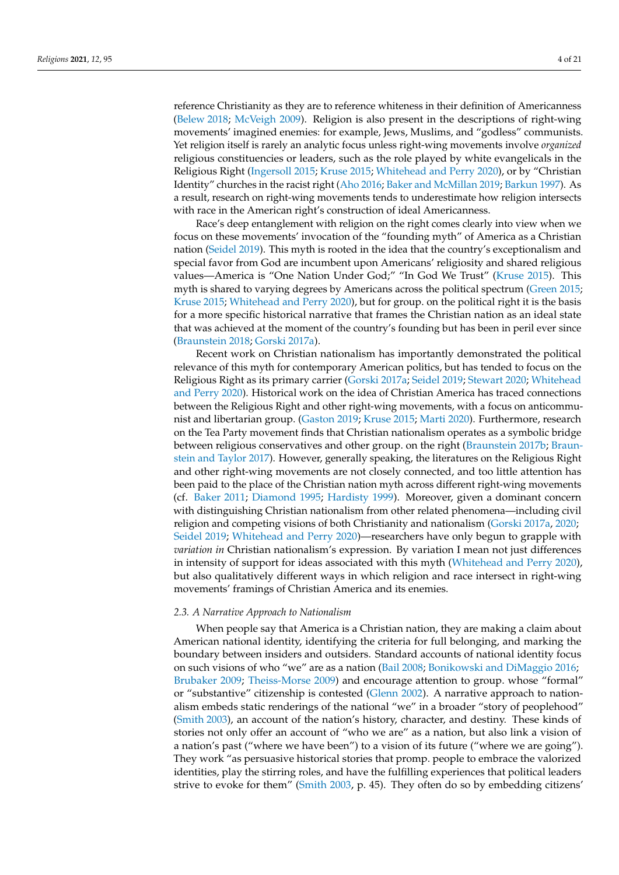reference Christianity as they are to reference whiteness in their definition of Americanness [\(Belew](#page-17-1) [2018;](#page-17-1) [McVeigh](#page-19-10) [2009\)](#page-19-10). Religion is also present in the descriptions of right-wing movements' imagined enemies: for example, Jews, Muslims, and "godless" communists. Yet religion itself is rarely an analytic focus unless right-wing movements involve *organized* religious constituencies or leaders, such as the role played by white evangelicals in the Religious Right [\(Ingersoll](#page-19-13) [2015;](#page-19-13) [Kruse](#page-19-0) [2015;](#page-19-0) [Whitehead and Perry](#page-20-1) [2020\)](#page-20-1), or by "Christian Identity" churches in the racist right [\(Aho](#page-17-0) [2016;](#page-17-0) [Baker and McMillan](#page-17-2) [2019;](#page-17-2) [Barkun](#page-17-3) [1997\)](#page-17-3). As a result, research on right-wing movements tends to underestimate how religion intersects with race in the American right's construction of ideal Americanness.

Race's deep entanglement with religion on the right comes clearly into view when we focus on these movements' invocation of the "founding myth" of America as a Christian nation [\(Seidel](#page-20-0) [2019\)](#page-20-0). This myth is rooted in the idea that the country's exceptionalism and special favor from God are incumbent upon Americans' religiosity and shared religious values—America is "One Nation Under God;" "In God We Trust" [\(Kruse](#page-19-0) [2015\)](#page-19-0). This myth is shared to varying degrees by Americans across the political spectrum [\(Green](#page-18-4) [2015;](#page-18-4) [Kruse](#page-19-0) [2015;](#page-19-0) [Whitehead and Perry](#page-20-1) [2020\)](#page-20-1), but for group. on the political right it is the basis for a more specific historical narrative that frames the Christian nation as an ideal state that was achieved at the moment of the country's founding but has been in peril ever since [\(Braunstein](#page-18-2) [2018;](#page-18-2) [Gorski](#page-18-3) [2017a\)](#page-18-3).

Recent work on Christian nationalism has importantly demonstrated the political relevance of this myth for contemporary American politics, but has tended to focus on the Religious Right as its primary carrier [\(Gorski](#page-18-3) [2017a;](#page-18-3) [Seidel](#page-20-0) [2019;](#page-20-0) [Stewart](#page-20-12) [2020;](#page-20-12) [Whitehead](#page-20-1) [and Perry](#page-20-1) [2020\)](#page-20-1). Historical work on the idea of Christian America has traced connections between the Religious Right and other right-wing movements, with a focus on anticommunist and libertarian group. [\(Gaston](#page-18-13) [2019;](#page-18-13) [Kruse](#page-19-0) [2015;](#page-19-0) [Marti](#page-19-14) [2020\)](#page-19-14). Furthermore, research on the Tea Party movement finds that Christian nationalism operates as a symbolic bridge between religious conservatives and other group. on the right [\(Braunstein](#page-18-1) [2017b;](#page-18-1) [Braun](#page-18-7)[stein and Taylor](#page-18-7) [2017\)](#page-18-7). However, generally speaking, the literatures on the Religious Right and other right-wing movements are not closely connected, and too little attention has been paid to the place of the Christian nation myth across different right-wing movements (cf. [Baker](#page-17-4) [2011;](#page-17-4) [Diamond](#page-18-16) [1995;](#page-18-16) [Hardisty](#page-19-15) [1999\)](#page-19-15). Moreover, given a dominant concern with distinguishing Christian nationalism from other related phenomena—including civil religion and competing visions of both Christianity and nationalism [\(Gorski](#page-18-3) [2017a,](#page-18-3) [2020;](#page-18-12) [Seidel](#page-20-0) [2019;](#page-20-0) [Whitehead and Perry](#page-20-1) [2020\)](#page-20-1)—researchers have only begun to grapple with *variation in* Christian nationalism's expression. By variation I mean not just differences in intensity of support for ideas associated with this myth [\(Whitehead and Perry](#page-20-1) [2020\)](#page-20-1), but also qualitatively different ways in which religion and race intersect in right-wing movements' framings of Christian America and its enemies.

#### *2.3. A Narrative Approach to Nationalism*

When people say that America is a Christian nation, they are making a claim about American national identity, identifying the criteria for full belonging, and marking the boundary between insiders and outsiders. Standard accounts of national identity focus on such visions of who "we" are as a nation [\(Bail](#page-17-5) [2008;](#page-17-5) [Bonikowski and DiMaggio](#page-18-18) [2016;](#page-18-18) [Brubaker](#page-18-19) [2009;](#page-18-19) [Theiss-Morse](#page-20-13) [2009\)](#page-20-13) and encourage attention to group. whose "formal" or "substantive" citizenship is contested [\(Glenn](#page-18-20) [2002\)](#page-18-20). A narrative approach to nationalism embeds static renderings of the national "we" in a broader "story of peoplehood" [\(Smith](#page-20-3) [2003\)](#page-20-3), an account of the nation's history, character, and destiny. These kinds of stories not only offer an account of "who we are" as a nation, but also link a vision of a nation's past ("where we have been") to a vision of its future ("where we are going"). They work "as persuasive historical stories that promp. people to embrace the valorized identities, play the stirring roles, and have the fulfilling experiences that political leaders strive to evoke for them" [\(Smith](#page-20-3) [2003,](#page-20-3) p. 45). They often do so by embedding citizens'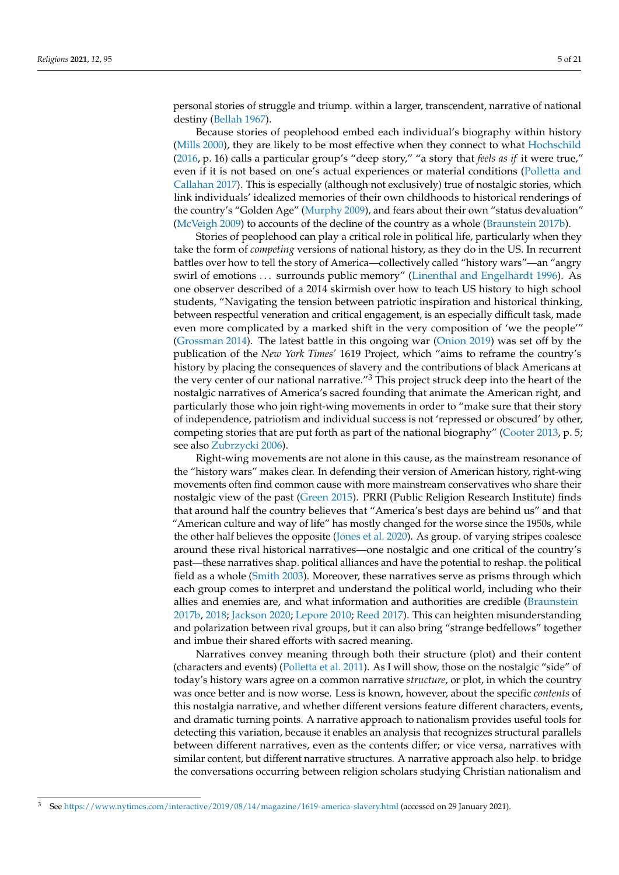personal stories of struggle and triump. within a larger, transcendent, narrative of national destiny [\(Bellah](#page-17-6) [1967\)](#page-17-6).

Because stories of peoplehood embed each individual's biography within history [\(Mills](#page-19-16) [2000\)](#page-19-16), they are likely to be most effective when they connect to what [Hochschild](#page-19-17) [\(2016,](#page-19-17) p. 16) calls a particular group's "deep story," "a story that *feels as if* it were true," even if it is not based on one's actual experiences or material conditions [\(Polletta and](#page-20-14) [Callahan](#page-20-14) [2017\)](#page-20-14). This is especially (although not exclusively) true of nostalgic stories, which link individuals' idealized memories of their own childhoods to historical renderings of the country's "Golden Age" [\(Murphy](#page-19-18) [2009\)](#page-19-18), and fears about their own "status devaluation" [\(McVeigh](#page-19-10) [2009\)](#page-19-10) to accounts of the decline of the country as a whole [\(Braunstein](#page-18-1) [2017b\)](#page-18-1).

Stories of peoplehood can play a critical role in political life, particularly when they take the form of *competing* versions of national history, as they do in the US. In recurrent battles over how to tell the story of America—collectively called "history wars"—an "angry swirl of emotions . . . surrounds public memory" [\(Linenthal and Engelhardt](#page-19-19) [1996\)](#page-19-19). As one observer described of a 2014 skirmish over how to teach US history to high school students, "Navigating the tension between patriotic inspiration and historical thinking, between respectful veneration and critical engagement, is an especially difficult task, made even more complicated by a marked shift in the very composition of 'we the people'" [\(Grossman](#page-19-20) [2014\)](#page-19-20). The latest battle in this ongoing war [\(Onion](#page-20-15) [2019\)](#page-20-15) was set off by the publication of the *New York Times'* 1619 Project, which "aims to reframe the country's history by placing the consequences of slavery and the contributions of black Americans at the very center of our national narrative." $3$  This project struck deep into the heart of the nostalgic narratives of America's sacred founding that animate the American right, and particularly those who join right-wing movements in order to "make sure that their story of independence, patriotism and individual success is not 'repressed or obscured' by other, competing stories that are put forth as part of the national biography" [\(Cooter](#page-18-5) [2013,](#page-18-5) p. 5; see also [Zubrzycki](#page-20-16) [2006\)](#page-20-16).

Right-wing movements are not alone in this cause, as the mainstream resonance of the "history wars" makes clear. In defending their version of American history, right-wing movements often find common cause with more mainstream conservatives who share their nostalgic view of the past [\(Green](#page-18-4) [2015\)](#page-18-4). PRRI (Public Religion Research Institute) finds that around half the country believes that "America's best days are behind us" and that "American culture and way of life" has mostly changed for the worse since the 1950s, while the other half believes the opposite [\(Jones et al.](#page-19-21) [2020\)](#page-19-21). As group. of varying stripes coalesce around these rival historical narratives—one nostalgic and one critical of the country's past—these narratives shap. political alliances and have the potential to reshap. the political field as a whole [\(Smith](#page-20-3) [2003\)](#page-20-3). Moreover, these narratives serve as prisms through which each group comes to interpret and understand the political world, including who their allies and enemies are, and what information and authorities are credible [\(Braunstein](#page-18-1) [2017b,](#page-18-1) [2018;](#page-18-2) [Jackson](#page-19-1) [2020;](#page-19-1) [Lepore](#page-19-22) [2010;](#page-19-22) [Reed](#page-20-17) [2017\)](#page-20-17). This can heighten misunderstanding and polarization between rival groups, but it can also bring "strange bedfellows" together and imbue their shared efforts with sacred meaning.

Narratives convey meaning through both their structure (plot) and their content (characters and events) [\(Polletta et al.](#page-20-18) [2011\)](#page-20-18). As I will show, those on the nostalgic "side" of today's history wars agree on a common narrative *structure*, or plot, in which the country was once better and is now worse. Less is known, however, about the specific *contents* of this nostalgia narrative, and whether different versions feature different characters, events, and dramatic turning points. A narrative approach to nationalism provides useful tools for detecting this variation, because it enables an analysis that recognizes structural parallels between different narratives, even as the contents differ; or vice versa, narratives with similar content, but different narrative structures. A narrative approach also help. to bridge the conversations occurring between religion scholars studying Christian nationalism and

<sup>3</sup> See <https://www.nytimes.com/interactive/2019/08/14/magazine/1619-america-slavery.html> (accessed on 29 January 2021).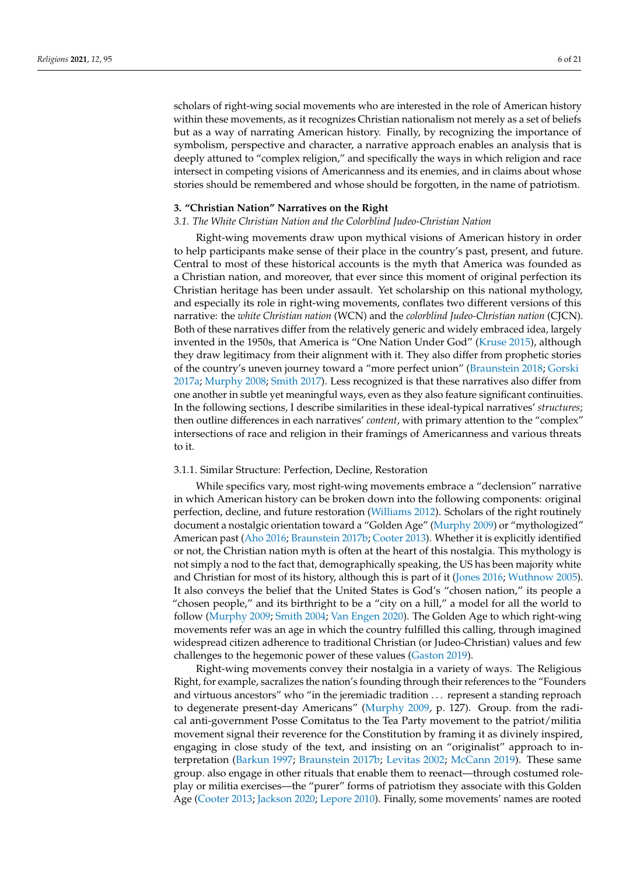scholars of right-wing social movements who are interested in the role of American history within these movements, as it recognizes Christian nationalism not merely as a set of beliefs but as a way of narrating American history. Finally, by recognizing the importance of symbolism, perspective and character, a narrative approach enables an analysis that is deeply attuned to "complex religion," and specifically the ways in which religion and race intersect in competing visions of Americanness and its enemies, and in claims about whose stories should be remembered and whose should be forgotten, in the name of patriotism.

#### **3. "Christian Nation" Narratives on the Right**

### *3.1. The White Christian Nation and the Colorblind Judeo-Christian Nation*

Right-wing movements draw upon mythical visions of American history in order to help participants make sense of their place in the country's past, present, and future. Central to most of these historical accounts is the myth that America was founded as a Christian nation, and moreover, that ever since this moment of original perfection its Christian heritage has been under assault. Yet scholarship on this national mythology, and especially its role in right-wing movements, conflates two different versions of this narrative: the *white Christian nation* (WCN) and the *colorblind Judeo-Christian nation* (CJCN). Both of these narratives differ from the relatively generic and widely embraced idea, largely invented in the 1950s, that America is "One Nation Under God" [\(Kruse](#page-19-0) [2015\)](#page-19-0), although they draw legitimacy from their alignment with it. They also differ from prophetic stories of the country's uneven journey toward a "more perfect union" [\(Braunstein](#page-18-2) [2018;](#page-18-2) [Gorski](#page-18-3) [2017a;](#page-18-3) [Murphy](#page-19-9) [2008;](#page-19-9) [Smith](#page-20-19) [2017\)](#page-20-19). Less recognized is that these narratives also differ from one another in subtle yet meaningful ways, even as they also feature significant continuities. In the following sections, I describe similarities in these ideal-typical narratives' *structures*; then outline differences in each narratives' *content*, with primary attention to the "complex" intersections of race and religion in their framings of Americanness and various threats to it.

#### 3.1.1. Similar Structure: Perfection, Decline, Restoration

While specifics vary, most right-wing movements embrace a "declension" narrative in which American history can be broken down into the following components: original perfection, decline, and future restoration [\(Williams](#page-20-20) [2012\)](#page-20-20). Scholars of the right routinely document a nostalgic orientation toward a "Golden Age" [\(Murphy](#page-19-18) [2009\)](#page-19-18) or "mythologized" American past [\(Aho](#page-17-0) [2016;](#page-17-0) [Braunstein](#page-18-1) [2017b;](#page-18-1) [Cooter](#page-18-5) [2013\)](#page-18-5). Whether it is explicitly identified or not, the Christian nation myth is often at the heart of this nostalgia. This mythology is not simply a nod to the fact that, demographically speaking, the US has been majority white and Christian for most of its history, although this is part of it [\(Jones](#page-19-23) [2016;](#page-19-23) [Wuthnow](#page-20-21) [2005\)](#page-20-21). It also conveys the belief that the United States is God's "chosen nation," its people a "chosen people," and its birthright to be a "city on a hill," a model for all the world to follow [\(Murphy](#page-19-18) [2009;](#page-19-18) [Smith](#page-20-22) [2004;](#page-20-22) [Van Engen](#page-20-23) [2020\)](#page-20-23). The Golden Age to which right-wing movements refer was an age in which the country fulfilled this calling, through imagined widespread citizen adherence to traditional Christian (or Judeo-Christian) values and few challenges to the hegemonic power of these values [\(Gaston](#page-18-13) [2019\)](#page-18-13).

Right-wing movements convey their nostalgia in a variety of ways. The Religious Right, for example, sacralizes the nation's founding through their references to the "Founders and virtuous ancestors" who "in the jeremiadic tradition . . . represent a standing reproach to degenerate present-day Americans" [\(Murphy](#page-19-18) [2009,](#page-19-18) p. 127). Group. from the radical anti-government Posse Comitatus to the Tea Party movement to the patriot/militia movement signal their reverence for the Constitution by framing it as divinely inspired, engaging in close study of the text, and insisting on an "originalist" approach to interpretation [\(Barkun](#page-17-3) [1997;](#page-17-3) [Braunstein](#page-18-1) [2017b;](#page-18-1) [Levitas](#page-19-24) [2002;](#page-19-24) [McCann](#page-19-2) [2019\)](#page-19-2). These same group. also engage in other rituals that enable them to reenact—through costumed roleplay or militia exercises—the "purer" forms of patriotism they associate with this Golden Age [\(Cooter](#page-18-5) [2013;](#page-18-5) [Jackson](#page-19-1) [2020;](#page-19-1) [Lepore](#page-19-22) [2010\)](#page-19-22). Finally, some movements' names are rooted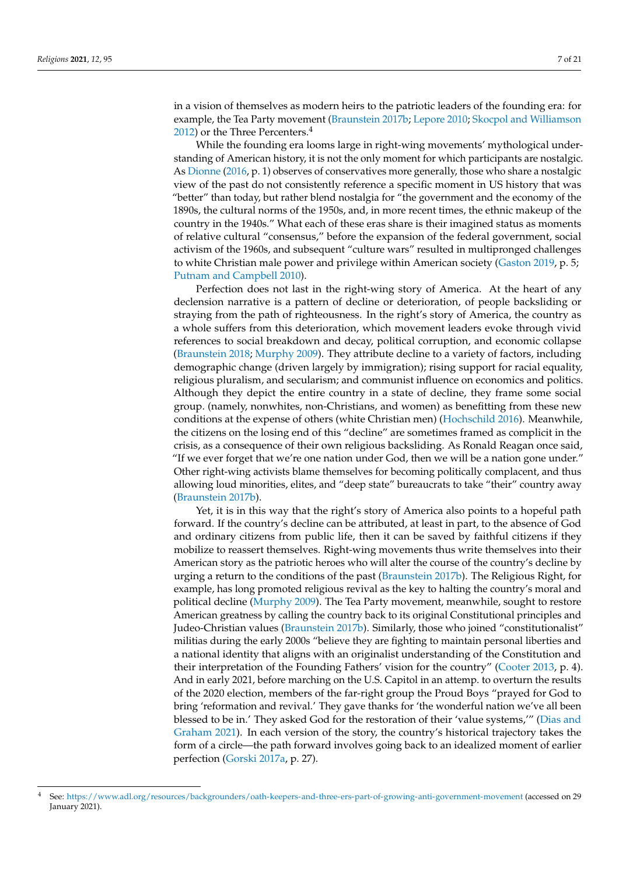in a vision of themselves as modern heirs to the patriotic leaders of the founding era: for example, the Tea Party movement [\(Braunstein](#page-18-1) [2017b;](#page-18-1) [Lepore](#page-19-22) [2010;](#page-19-22) [Skocpol and Williamson](#page-20-24) [2012\)](#page-20-24) or the Three Percenters.<sup>4</sup>

While the founding era looms large in right-wing movements' mythological understanding of American history, it is not the only moment for which participants are nostalgic. As [Dionne](#page-18-21) [\(2016,](#page-18-21) p. 1) observes of conservatives more generally, those who share a nostalgic view of the past do not consistently reference a specific moment in US history that was "better" than today, but rather blend nostalgia for "the government and the economy of the 1890s, the cultural norms of the 1950s, and, in more recent times, the ethnic makeup of the country in the 1940s." What each of these eras share is their imagined status as moments of relative cultural "consensus," before the expansion of the federal government, social activism of the 1960s, and subsequent "culture wars" resulted in multipronged challenges to white Christian male power and privilege within American society [\(Gaston](#page-18-13) [2019,](#page-18-13) p. 5; [Putnam and Campbell](#page-20-25) [2010\)](#page-20-25).

Perfection does not last in the right-wing story of America. At the heart of any declension narrative is a pattern of decline or deterioration, of people backsliding or straying from the path of righteousness. In the right's story of America, the country as a whole suffers from this deterioration, which movement leaders evoke through vivid references to social breakdown and decay, political corruption, and economic collapse [\(Braunstein](#page-18-2) [2018;](#page-18-2) [Murphy](#page-19-18) [2009\)](#page-19-18). They attribute decline to a variety of factors, including demographic change (driven largely by immigration); rising support for racial equality, religious pluralism, and secularism; and communist influence on economics and politics. Although they depict the entire country in a state of decline, they frame some social group. (namely, nonwhites, non-Christians, and women) as benefitting from these new conditions at the expense of others (white Christian men) [\(Hochschild](#page-19-17) [2016\)](#page-19-17). Meanwhile, the citizens on the losing end of this "decline" are sometimes framed as complicit in the crisis, as a consequence of their own religious backsliding. As Ronald Reagan once said, "If we ever forget that we're one nation under God, then we will be a nation gone under." Other right-wing activists blame themselves for becoming politically complacent, and thus allowing loud minorities, elites, and "deep state" bureaucrats to take "their" country away [\(Braunstein](#page-18-1) [2017b\)](#page-18-1).

Yet, it is in this way that the right's story of America also points to a hopeful path forward. If the country's decline can be attributed, at least in part, to the absence of God and ordinary citizens from public life, then it can be saved by faithful citizens if they mobilize to reassert themselves. Right-wing movements thus write themselves into their American story as the patriotic heroes who will alter the course of the country's decline by urging a return to the conditions of the past [\(Braunstein](#page-18-1) [2017b\)](#page-18-1). The Religious Right, for example, has long promoted religious revival as the key to halting the country's moral and political decline [\(Murphy](#page-19-18) [2009\)](#page-19-18). The Tea Party movement, meanwhile, sought to restore American greatness by calling the country back to its original Constitutional principles and Judeo-Christian values [\(Braunstein](#page-18-1) [2017b\)](#page-18-1). Similarly, those who joined "constitutionalist" militias during the early 2000s "believe they are fighting to maintain personal liberties and a national identity that aligns with an originalist understanding of the Constitution and their interpretation of the Founding Fathers' vision for the country" [\(Cooter](#page-18-5) [2013,](#page-18-5) p. 4). And in early 2021, before marching on the U.S. Capitol in an attemp. to overturn the results of the 2020 election, members of the far-right group the Proud Boys "prayed for God to bring 'reformation and revival.' They gave thanks for 'the wonderful nation we've all been blessed to be in.' They asked God for the restoration of their 'value systems,'" [\(Dias and](#page-18-0) [Graham](#page-18-0) [2021\)](#page-18-0). In each version of the story, the country's historical trajectory takes the form of a circle—the path forward involves going back to an idealized moment of earlier perfection [\(Gorski](#page-18-3) [2017a,](#page-18-3) p. 27).

<sup>4</sup> See: <https://www.adl.org/resources/backgrounders/oath-keepers-and-three-ers-part-of-growing-anti-government-movement> (accessed on 29 January 2021).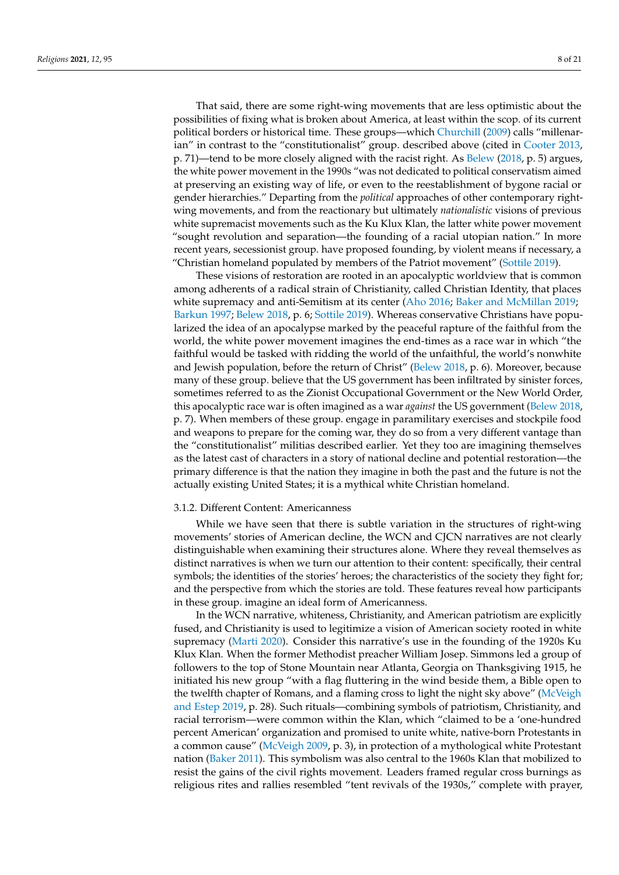That said, there are some right-wing movements that are less optimistic about the possibilities of fixing what is broken about America, at least within the scop. of its current political borders or historical time. These groups—which [Churchill](#page-18-22) [\(2009\)](#page-18-22) calls "millenar-ian" in contrast to the "constitutionalist" group. described above (cited in [Cooter](#page-18-5) [2013,](#page-18-5) p. 71)—tend to be more closely aligned with the racist right. As [Belew](#page-17-1) [\(2018,](#page-17-1) p. 5) argues, the white power movement in the 1990s "was not dedicated to political conservatism aimed at preserving an existing way of life, or even to the reestablishment of bygone racial or gender hierarchies." Departing from the *political* approaches of other contemporary rightwing movements, and from the reactionary but ultimately *nationalistic* visions of previous white supremacist movements such as the Ku Klux Klan, the latter white power movement "sought revolution and separation—the founding of a racial utopian nation." In more recent years, secessionist group. have proposed founding, by violent means if necessary, a "Christian homeland populated by members of the Patriot movement" [\(Sottile](#page-20-26) [2019\)](#page-20-26).

These visions of restoration are rooted in an apocalyptic worldview that is common among adherents of a radical strain of Christianity, called Christian Identity, that places white supremacy and anti-Semitism at its center [\(Aho](#page-17-0) [2016;](#page-17-0) [Baker and McMillan](#page-17-2) [2019;](#page-17-2) [Barkun](#page-17-3) [1997;](#page-17-3) [Belew](#page-17-1) [2018,](#page-17-1) p. 6; [Sottile](#page-20-26) [2019\)](#page-20-26). Whereas conservative Christians have popularized the idea of an apocalypse marked by the peaceful rapture of the faithful from the world, the white power movement imagines the end-times as a race war in which "the faithful would be tasked with ridding the world of the unfaithful, the world's nonwhite and Jewish population, before the return of Christ" [\(Belew](#page-17-1) [2018,](#page-17-1) p. 6). Moreover, because many of these group. believe that the US government has been infiltrated by sinister forces, sometimes referred to as the Zionist Occupational Government or the New World Order, this apocalyptic race war is often imagined as a war *against* the US government [\(Belew](#page-17-1) [2018,](#page-17-1) p. 7). When members of these group. engage in paramilitary exercises and stockpile food and weapons to prepare for the coming war, they do so from a very different vantage than the "constitutionalist" militias described earlier. Yet they too are imagining themselves as the latest cast of characters in a story of national decline and potential restoration—the primary difference is that the nation they imagine in both the past and the future is not the actually existing United States; it is a mythical white Christian homeland.

#### 3.1.2. Different Content: Americanness

While we have seen that there is subtle variation in the structures of right-wing movements' stories of American decline, the WCN and CJCN narratives are not clearly distinguishable when examining their structures alone. Where they reveal themselves as distinct narratives is when we turn our attention to their content: specifically, their central symbols; the identities of the stories' heroes; the characteristics of the society they fight for; and the perspective from which the stories are told. These features reveal how participants in these group. imagine an ideal form of Americanness.

In the WCN narrative, whiteness, Christianity, and American patriotism are explicitly fused, and Christianity is used to legitimize a vision of American society rooted in white supremacy [\(Marti](#page-19-14) [2020\)](#page-19-14). Consider this narrative's use in the founding of the 1920s Ku Klux Klan. When the former Methodist preacher William Josep. Simmons led a group of followers to the top of Stone Mountain near Atlanta, Georgia on Thanksgiving 1915, he initiated his new group "with a flag fluttering in the wind beside them, a Bible open to the twelfth chapter of Romans, and a flaming cross to light the night sky above" [\(McVeigh](#page-19-11) [and Estep](#page-19-11) [2019,](#page-19-11) p. 28). Such rituals—combining symbols of patriotism, Christianity, and racial terrorism—were common within the Klan, which "claimed to be a 'one-hundred percent American' organization and promised to unite white, native-born Protestants in a common cause" [\(McVeigh](#page-19-10) [2009,](#page-19-10) p. 3), in protection of a mythological white Protestant nation [\(Baker](#page-17-4) [2011\)](#page-17-4). This symbolism was also central to the 1960s Klan that mobilized to resist the gains of the civil rights movement. Leaders framed regular cross burnings as religious rites and rallies resembled "tent revivals of the 1930s," complete with prayer,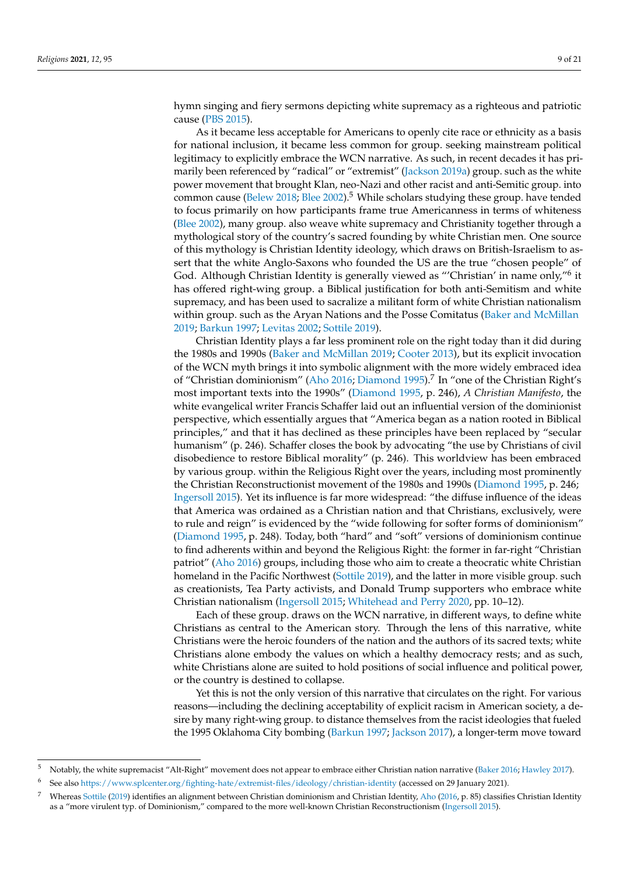hymn singing and fiery sermons depicting white supremacy as a righteous and patriotic cause [\(PBS](#page-20-27) [2015\)](#page-20-27).

As it became less acceptable for Americans to openly cite race or ethnicity as a basis for national inclusion, it became less common for group. seeking mainstream political legitimacy to explicitly embrace the WCN narrative. As such, in recent decades it has primarily been referenced by "radical" or "extremist" [\(Jackson](#page-19-12) [2019a\)](#page-19-12) group. such as the white power movement that brought Klan, neo-Nazi and other racist and anti-Semitic group. into common cause [\(Belew](#page-17-1) [2018;](#page-17-1) [Blee](#page-18-17) [2002\)](#page-18-17).<sup>5</sup> While scholars studying these group. have tended to focus primarily on how participants frame true Americanness in terms of whiteness [\(Blee](#page-18-17) [2002\)](#page-18-17), many group. also weave white supremacy and Christianity together through a mythological story of the country's sacred founding by white Christian men. One source of this mythology is Christian Identity ideology, which draws on British-Israelism to assert that the white Anglo-Saxons who founded the US are the true "chosen people" of God. Although Christian Identity is generally viewed as "'Christian' in name only,"<sup>6</sup> it has offered right-wing group. a Biblical justification for both anti-Semitism and white supremacy, and has been used to sacralize a militant form of white Christian nationalism within group. such as the Aryan Nations and the Posse Comitatus [\(Baker and McMillan](#page-17-2) [2019;](#page-17-2) [Barkun](#page-17-3) [1997;](#page-17-3) [Levitas](#page-19-24) [2002;](#page-19-24) [Sottile](#page-20-26) [2019\)](#page-20-26).

Christian Identity plays a far less prominent role on the right today than it did during the 1980s and 1990s [\(Baker and McMillan](#page-17-2) [2019;](#page-17-2) [Cooter](#page-18-5) [2013\)](#page-18-5), but its explicit invocation of the WCN myth brings it into symbolic alignment with the more widely embraced idea of "Christian dominionism" [\(Aho](#page-17-0) [2016;](#page-17-0) [Diamond](#page-18-16) [1995\)](#page-18-16).<sup>7</sup> In "one of the Christian Right's most important texts into the 1990s" [\(Diamond](#page-18-16) [1995,](#page-18-16) p. 246), *A Christian Manifesto*, the white evangelical writer Francis Schaffer laid out an influential version of the dominionist perspective, which essentially argues that "America began as a nation rooted in Biblical principles," and that it has declined as these principles have been replaced by "secular humanism" (p. 246). Schaffer closes the book by advocating "the use by Christians of civil disobedience to restore Biblical morality" (p. 246). This worldview has been embraced by various group. within the Religious Right over the years, including most prominently the Christian Reconstructionist movement of the 1980s and 1990s [\(Diamond](#page-18-16) [1995,](#page-18-16) p. 246; [Ingersoll](#page-19-13) [2015\)](#page-19-13). Yet its influence is far more widespread: "the diffuse influence of the ideas that America was ordained as a Christian nation and that Christians, exclusively, were to rule and reign" is evidenced by the "wide following for softer forms of dominionism" [\(Diamond](#page-18-16) [1995,](#page-18-16) p. 248). Today, both "hard" and "soft" versions of dominionism continue to find adherents within and beyond the Religious Right: the former in far-right "Christian patriot" [\(Aho](#page-17-0) [2016\)](#page-17-0) groups, including those who aim to create a theocratic white Christian homeland in the Pacific Northwest [\(Sottile](#page-20-26) [2019\)](#page-20-26), and the latter in more visible group. such as creationists, Tea Party activists, and Donald Trump supporters who embrace white Christian nationalism [\(Ingersoll](#page-19-13) [2015;](#page-19-13) [Whitehead and Perry](#page-20-1) [2020,](#page-20-1) pp. 10–12).

Each of these group. draws on the WCN narrative, in different ways, to define white Christians as central to the American story. Through the lens of this narrative, white Christians were the heroic founders of the nation and the authors of its sacred texts; white Christians alone embody the values on which a healthy democracy rests; and as such, white Christians alone are suited to hold positions of social influence and political power, or the country is destined to collapse.

Yet this is not the only version of this narrative that circulates on the right. For various reasons—including the declining acceptability of explicit racism in American society, a desire by many right-wing group. to distance themselves from the racist ideologies that fueled the 1995 Oklahoma City bombing [\(Barkun](#page-17-3) [1997;](#page-17-3) [Jackson](#page-19-25) [2017\)](#page-19-25), a longer-term move toward

<sup>6</sup> See also <https://www.splcenter.org/fighting-hate/extremist-files/ideology/christian-identity> (accessed on 29 January 2021).

<sup>5</sup> Notably, the white supremacist "Alt-Right" movement does not appear to embrace either Christian nation narrative [\(Baker](#page-17-7) [2016;](#page-17-7) [Hawley](#page-19-26) [2017\)](#page-19-26).

<sup>7</sup> Whereas [Sottile](#page-20-26) [\(2019\)](#page-20-26) identifies an alignment between Christian dominionism and Christian Identity, [Aho](#page-17-0) [\(2016,](#page-17-0) p. 85) classifies Christian Identity as a "more virulent typ. of Dominionism," compared to the more well-known Christian Reconstructionism [\(Ingersoll](#page-19-13) [2015\)](#page-19-13).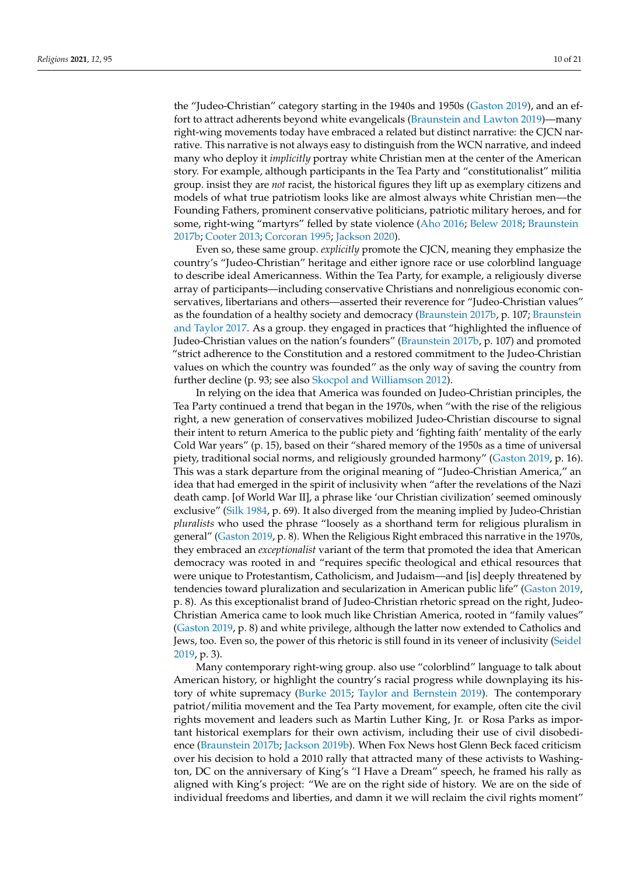the "Judeo-Christian" category starting in the 1940s and 1950s [\(Gaston](#page-18-13) [2019\)](#page-18-13), and an effort to attract adherents beyond white evangelicals [\(Braunstein and Lawton](#page-18-23) [2019\)](#page-18-23)—many right-wing movements today have embraced a related but distinct narrative: the CJCN narrative. This narrative is not always easy to distinguish from the WCN narrative, and indeed many who deploy it *implicitly* portray white Christian men at the center of the American story. For example, although participants in the Tea Party and "constitutionalist" militia group. insist they are *not* racist, the historical figures they lift up as exemplary citizens and models of what true patriotism looks like are almost always white Christian men—the Founding Fathers, prominent conservative politicians, patriotic military heroes, and for some, right-wing "martyrs" felled by state violence [\(Aho](#page-17-0) [2016;](#page-17-0) [Belew](#page-17-1) [2018;](#page-17-1) [Braunstein](#page-18-1) [2017b;](#page-18-1) [Cooter](#page-18-5) [2013;](#page-18-5) [Corcoran](#page-18-24) [1995;](#page-18-24) [Jackson](#page-19-1) [2020\)](#page-19-1).

Even so, these same group. *explicitly* promote the CJCN, meaning they emphasize the country's "Judeo-Christian" heritage and either ignore race or use colorblind language to describe ideal Americanness. Within the Tea Party, for example, a religiously diverse array of participants—including conservative Christians and nonreligious economic conservatives, libertarians and others—asserted their reverence for "Judeo-Christian values" as the foundation of a healthy society and democracy [\(Braunstein](#page-18-1) [2017b,](#page-18-1) p. 107; [Braunstein](#page-18-7) [and Taylor](#page-18-7) [2017.](#page-18-7) As a group. they engaged in practices that "highlighted the influence of Judeo-Christian values on the nation's founders" [\(Braunstein](#page-18-1) [2017b,](#page-18-1) p. 107) and promoted "strict adherence to the Constitution and a restored commitment to the Judeo-Christian values on which the country was founded" as the only way of saving the country from further decline (p. 93; see also [Skocpol and Williamson](#page-20-24) [2012\)](#page-20-24).

In relying on the idea that America was founded on Judeo-Christian principles, the Tea Party continued a trend that began in the 1970s, when "with the rise of the religious right, a new generation of conservatives mobilized Judeo-Christian discourse to signal their intent to return America to the public piety and 'fighting faith' mentality of the early Cold War years" (p. 15), based on their "shared memory of the 1950s as a time of universal piety, traditional social norms, and religiously grounded harmony" [\(Gaston](#page-18-13) [2019,](#page-18-13) p. 16). This was a stark departure from the original meaning of "Judeo-Christian America," an idea that had emerged in the spirit of inclusivity when "after the revelations of the Nazi death camp. [of World War II], a phrase like 'our Christian civilization' seemed ominously exclusive" [\(Silk](#page-20-28) [1984,](#page-20-28) p. 69). It also diverged from the meaning implied by Judeo-Christian *pluralists* who used the phrase "loosely as a shorthand term for religious pluralism in general" [\(Gaston](#page-18-13) [2019,](#page-18-13) p. 8). When the Religious Right embraced this narrative in the 1970s, they embraced an *exceptionalist* variant of the term that promoted the idea that American democracy was rooted in and "requires specific theological and ethical resources that were unique to Protestantism, Catholicism, and Judaism—and [is] deeply threatened by tendencies toward pluralization and secularization in American public life" [\(Gaston](#page-18-13) [2019,](#page-18-13) p. 8). As this exceptionalist brand of Judeo-Christian rhetoric spread on the right, Judeo-Christian America came to look much like Christian America, rooted in "family values" [\(Gaston](#page-18-13) [2019,](#page-18-13) p. 8) and white privilege, although the latter now extended to Catholics and Jews, too. Even so, the power of this rhetoric is still found in its veneer of inclusivity [\(Seidel](#page-20-0) [2019,](#page-20-0) p. 3).

Many contemporary right-wing group. also use "colorblind" language to talk about American history, or highlight the country's racial progress while downplaying its history of white supremacy [\(Burke](#page-18-25) [2015;](#page-18-25) [Taylor and Bernstein](#page-20-29) [2019\)](#page-20-29). The contemporary patriot/militia movement and the Tea Party movement, for example, often cite the civil rights movement and leaders such as Martin Luther King, Jr. or Rosa Parks as important historical exemplars for their own activism, including their use of civil disobedience [\(Braunstein](#page-18-1) [2017b;](#page-18-1) [Jackson](#page-19-27) [2019b\)](#page-19-27). When Fox News host Glenn Beck faced criticism over his decision to hold a 2010 rally that attracted many of these activists to Washington, DC on the anniversary of King's "I Have a Dream" speech, he framed his rally as aligned with King's project: "We are on the right side of history. We are on the side of individual freedoms and liberties, and damn it we will reclaim the civil rights moment"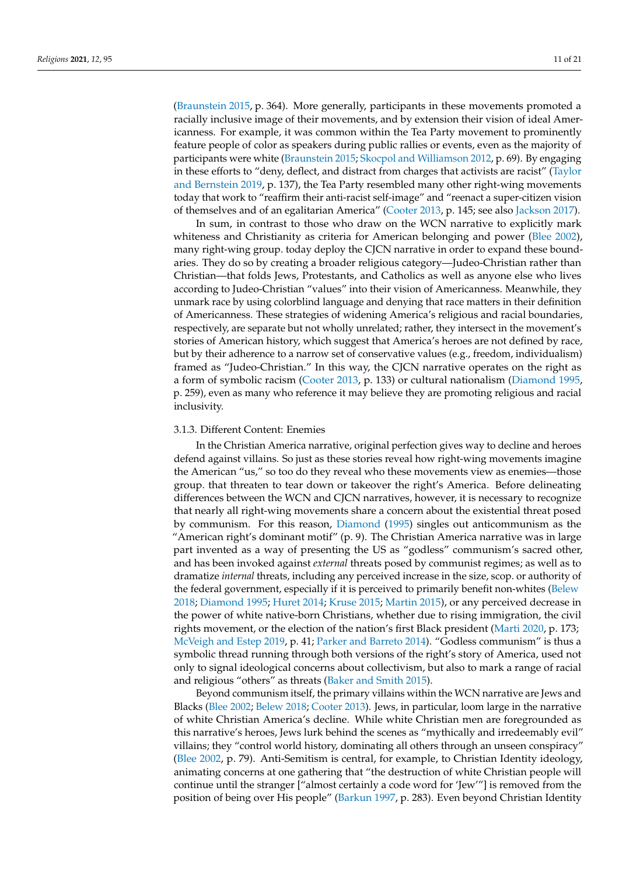[\(Braunstein](#page-18-26) [2015,](#page-18-26) p. 364). More generally, participants in these movements promoted a racially inclusive image of their movements, and by extension their vision of ideal Americanness. For example, it was common within the Tea Party movement to prominently feature people of color as speakers during public rallies or events, even as the majority of participants were white [\(Braunstein](#page-18-26) [2015;](#page-18-26) [Skocpol and Williamson](#page-20-24) [2012,](#page-20-24) p. 69). By engaging in these efforts to "deny, deflect, and distract from charges that activists are racist" [\(Taylor](#page-20-29) [and Bernstein](#page-20-29) [2019,](#page-20-29) p. 137), the Tea Party resembled many other right-wing movements today that work to "reaffirm their anti-racist self-image" and "reenact a super-citizen vision of themselves and of an egalitarian America" [\(Cooter](#page-18-5) [2013,](#page-18-5) p. 145; see also [Jackson](#page-19-25) [2017\)](#page-19-25).

In sum, in contrast to those who draw on the WCN narrative to explicitly mark whiteness and Christianity as criteria for American belonging and power [\(Blee](#page-18-17) [2002\)](#page-18-17), many right-wing group. today deploy the CJCN narrative in order to expand these boundaries. They do so by creating a broader religious category—Judeo-Christian rather than Christian—that folds Jews, Protestants, and Catholics as well as anyone else who lives according to Judeo-Christian "values" into their vision of Americanness. Meanwhile, they unmark race by using colorblind language and denying that race matters in their definition of Americanness. These strategies of widening America's religious and racial boundaries, respectively, are separate but not wholly unrelated; rather, they intersect in the movement's stories of American history, which suggest that America's heroes are not defined by race, but by their adherence to a narrow set of conservative values (e.g., freedom, individualism) framed as "Judeo-Christian." In this way, the CJCN narrative operates on the right as a form of symbolic racism [\(Cooter](#page-18-5) [2013,](#page-18-5) p. 133) or cultural nationalism [\(Diamond](#page-18-16) [1995,](#page-18-16) p. 259), even as many who reference it may believe they are promoting religious and racial inclusivity.

#### 3.1.3. Different Content: Enemies

In the Christian America narrative, original perfection gives way to decline and heroes defend against villains. So just as these stories reveal how right-wing movements imagine the American "us," so too do they reveal who these movements view as enemies—those group. that threaten to tear down or takeover the right's America. Before delineating differences between the WCN and CJCN narratives, however, it is necessary to recognize that nearly all right-wing movements share a concern about the existential threat posed by communism. For this reason, [Diamond](#page-18-16) [\(1995\)](#page-18-16) singles out anticommunism as the "American right's dominant motif" (p. 9). The Christian America narrative was in large part invented as a way of presenting the US as "godless" communism's sacred other, and has been invoked against *external* threats posed by communist regimes; as well as to dramatize *internal* threats, including any perceived increase in the size, scop. or authority of the federal government, especially if it is perceived to primarily benefit non-whites [\(Belew](#page-17-1) [2018;](#page-17-1) [Diamond](#page-18-16) [1995;](#page-18-16) [Huret](#page-19-28) [2014;](#page-19-28) [Kruse](#page-19-0) [2015;](#page-19-0) [Martin](#page-19-29) [2015\)](#page-19-29), or any perceived decrease in the power of white native-born Christians, whether due to rising immigration, the civil rights movement, or the election of the nation's first Black president [\(Marti](#page-19-14) [2020,](#page-19-14) p. 173; [McVeigh and Estep](#page-19-11) [2019,](#page-19-11) p. 41; [Parker and Barreto](#page-20-30) [2014\)](#page-20-30). "Godless communism" is thus a symbolic thread running through both versions of the right's story of America, used not only to signal ideological concerns about collectivism, but also to mark a range of racial and religious "others" as threats [\(Baker and Smith](#page-17-8) [2015\)](#page-17-8).

Beyond communism itself, the primary villains within the WCN narrative are Jews and Blacks [\(Blee](#page-18-17) [2002;](#page-18-17) [Belew](#page-17-1) [2018;](#page-17-1) [Cooter](#page-18-5) [2013\)](#page-18-5). Jews, in particular, loom large in the narrative of white Christian America's decline. While white Christian men are foregrounded as this narrative's heroes, Jews lurk behind the scenes as "mythically and irredeemably evil" villains; they "control world history, dominating all others through an unseen conspiracy" [\(Blee](#page-18-17) [2002,](#page-18-17) p. 79). Anti-Semitism is central, for example, to Christian Identity ideology, animating concerns at one gathering that "the destruction of white Christian people will continue until the stranger ["almost certainly a code word for 'Jew'"] is removed from the position of being over His people" [\(Barkun](#page-17-3) [1997,](#page-17-3) p. 283). Even beyond Christian Identity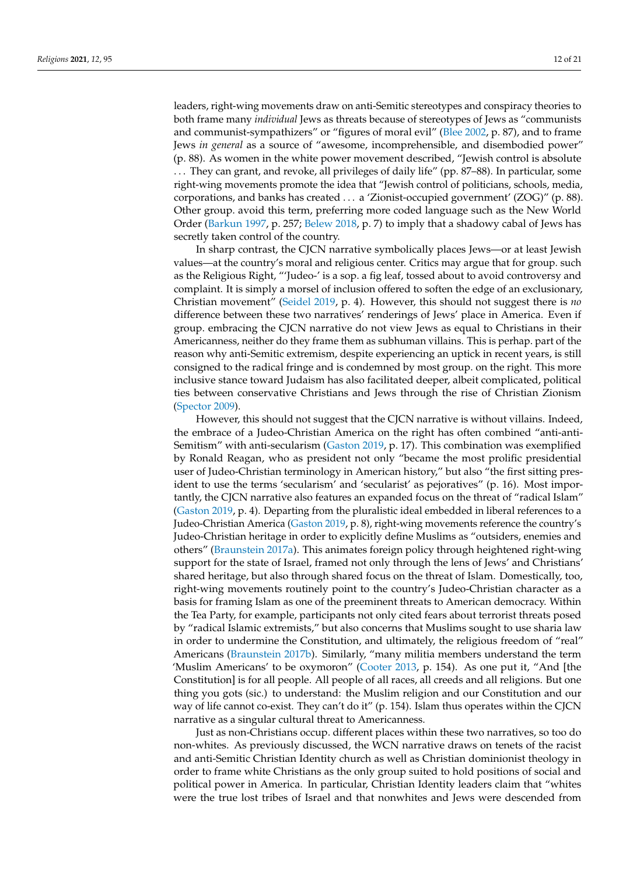leaders, right-wing movements draw on anti-Semitic stereotypes and conspiracy theories to both frame many *individual* Jews as threats because of stereotypes of Jews as "communists and communist-sympathizers" or "figures of moral evil" [\(Blee](#page-18-17) [2002,](#page-18-17) p. 87), and to frame Jews *in general* as a source of "awesome, incomprehensible, and disembodied power" (p. 88). As women in the white power movement described, "Jewish control is absolute . . . They can grant, and revoke, all privileges of daily life" (pp. 87–88). In particular, some right-wing movements promote the idea that "Jewish control of politicians, schools, media, corporations, and banks has created . . . a 'Zionist-occupied government' (ZOG)" (p. 88). Other group. avoid this term, preferring more coded language such as the New World Order [\(Barkun](#page-17-3) [1997,](#page-17-3) p. 257; [Belew](#page-17-1) [2018,](#page-17-1) p. 7) to imply that a shadowy cabal of Jews has secretly taken control of the country.

In sharp contrast, the CJCN narrative symbolically places Jews—or at least Jewish values—at the country's moral and religious center. Critics may argue that for group. such as the Religious Right, "'Judeo-' is a sop. a fig leaf, tossed about to avoid controversy and complaint. It is simply a morsel of inclusion offered to soften the edge of an exclusionary, Christian movement" [\(Seidel](#page-20-0) [2019,](#page-20-0) p. 4). However, this should not suggest there is *no* difference between these two narratives' renderings of Jews' place in America. Even if group. embracing the CJCN narrative do not view Jews as equal to Christians in their Americanness, neither do they frame them as subhuman villains. This is perhap. part of the reason why anti-Semitic extremism, despite experiencing an uptick in recent years, is still consigned to the radical fringe and is condemned by most group. on the right. This more inclusive stance toward Judaism has also facilitated deeper, albeit complicated, political ties between conservative Christians and Jews through the rise of Christian Zionism [\(Spector](#page-20-31) [2009\)](#page-20-31).

However, this should not suggest that the CJCN narrative is without villains. Indeed, the embrace of a Judeo-Christian America on the right has often combined "anti-anti-Semitism" with anti-secularism [\(Gaston](#page-18-13) [2019,](#page-18-13) p. 17). This combination was exemplified by Ronald Reagan, who as president not only "became the most prolific presidential user of Judeo-Christian terminology in American history," but also "the first sitting president to use the terms 'secularism' and 'secularist' as pejoratives" (p. 16). Most importantly, the CJCN narrative also features an expanded focus on the threat of "radical Islam" [\(Gaston](#page-18-13) [2019,](#page-18-13) p. 4). Departing from the pluralistic ideal embedded in liberal references to a Judeo-Christian America [\(Gaston](#page-18-13) [2019,](#page-18-13) p. 8), right-wing movements reference the country's Judeo-Christian heritage in order to explicitly define Muslims as "outsiders, enemies and others" [\(Braunstein](#page-18-27) [2017a\)](#page-18-27). This animates foreign policy through heightened right-wing support for the state of Israel, framed not only through the lens of Jews' and Christians' shared heritage, but also through shared focus on the threat of Islam. Domestically, too, right-wing movements routinely point to the country's Judeo-Christian character as a basis for framing Islam as one of the preeminent threats to American democracy. Within the Tea Party, for example, participants not only cited fears about terrorist threats posed by "radical Islamic extremists," but also concerns that Muslims sought to use sharia law in order to undermine the Constitution, and ultimately, the religious freedom of "real" Americans [\(Braunstein](#page-18-1) [2017b\)](#page-18-1). Similarly, "many militia members understand the term 'Muslim Americans' to be oxymoron" [\(Cooter](#page-18-5) [2013,](#page-18-5) p. 154). As one put it, "And [the Constitution] is for all people. All people of all races, all creeds and all religions. But one thing you gots (sic.) to understand: the Muslim religion and our Constitution and our way of life cannot co-exist. They can't do it" (p. 154). Islam thus operates within the CJCN narrative as a singular cultural threat to Americanness.

Just as non-Christians occup. different places within these two narratives, so too do non-whites. As previously discussed, the WCN narrative draws on tenets of the racist and anti-Semitic Christian Identity church as well as Christian dominionist theology in order to frame white Christians as the only group suited to hold positions of social and political power in America. In particular, Christian Identity leaders claim that "whites were the true lost tribes of Israel and that nonwhites and Jews were descended from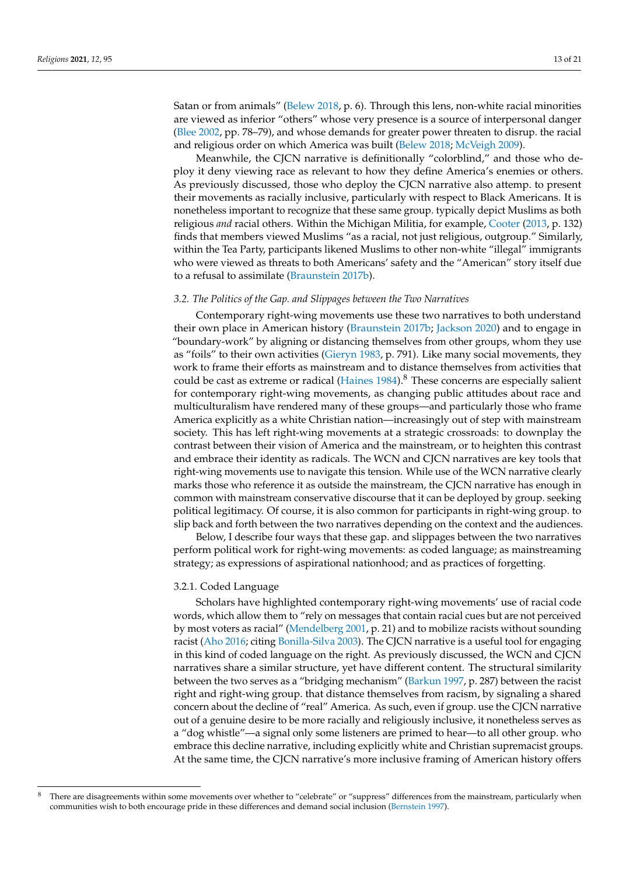Satan or from animals" [\(Belew](#page-17-1) [2018,](#page-17-1) p. 6). Through this lens, non-white racial minorities are viewed as inferior "others" whose very presence is a source of interpersonal danger [\(Blee](#page-18-17) [2002,](#page-18-17) pp. 78–79), and whose demands for greater power threaten to disrup. the racial and religious order on which America was built [\(Belew](#page-17-1) [2018;](#page-17-1) [McVeigh](#page-19-10) [2009\)](#page-19-10).

Meanwhile, the CJCN narrative is definitionally "colorblind," and those who deploy it deny viewing race as relevant to how they define America's enemies or others. As previously discussed, those who deploy the CJCN narrative also attemp. to present their movements as racially inclusive, particularly with respect to Black Americans. It is nonetheless important to recognize that these same group. typically depict Muslims as both religious *and* racial others. Within the Michigan Militia, for example, [Cooter](#page-18-5) [\(2013,](#page-18-5) p. 132) finds that members viewed Muslims "as a racial, not just religious, outgroup." Similarly, within the Tea Party, participants likened Muslims to other non-white "illegal" immigrants who were viewed as threats to both Americans' safety and the "American" story itself due to a refusal to assimilate [\(Braunstein](#page-18-1) [2017b\)](#page-18-1).

#### *3.2. The Politics of the Gap. and Slippages between the Two Narratives*

Contemporary right-wing movements use these two narratives to both understand their own place in American history [\(Braunstein](#page-18-1) [2017b;](#page-18-1) [Jackson](#page-19-1) [2020\)](#page-19-1) and to engage in "boundary-work" by aligning or distancing themselves from other groups, whom they use as "foils" to their own activities [\(Gieryn](#page-18-28) [1983,](#page-18-28) p. 791). Like many social movements, they work to frame their efforts as mainstream and to distance themselves from activities that could be cast as extreme or radical [\(Haines](#page-19-30) [1984\)](#page-19-30).<sup>8</sup> These concerns are especially salient for contemporary right-wing movements, as changing public attitudes about race and multiculturalism have rendered many of these groups—and particularly those who frame America explicitly as a white Christian nation—increasingly out of step with mainstream society. This has left right-wing movements at a strategic crossroads: to downplay the contrast between their vision of America and the mainstream, or to heighten this contrast and embrace their identity as radicals. The WCN and CJCN narratives are key tools that right-wing movements use to navigate this tension. While use of the WCN narrative clearly marks those who reference it as outside the mainstream, the CJCN narrative has enough in common with mainstream conservative discourse that it can be deployed by group. seeking political legitimacy. Of course, it is also common for participants in right-wing group. to slip back and forth between the two narratives depending on the context and the audiences.

Below, I describe four ways that these gap. and slippages between the two narratives perform political work for right-wing movements: as coded language; as mainstreaming strategy; as expressions of aspirational nationhood; and as practices of forgetting.

## 3.2.1. Coded Language

Scholars have highlighted contemporary right-wing movements' use of racial code words, which allow them to "rely on messages that contain racial cues but are not perceived by most voters as racial" [\(Mendelberg](#page-19-31) [2001,](#page-19-31) p. 21) and to mobilize racists without sounding racist [\(Aho](#page-17-0) [2016;](#page-17-0) citing [Bonilla-Silva](#page-18-29) [2003\)](#page-18-29). The CJCN narrative is a useful tool for engaging in this kind of coded language on the right. As previously discussed, the WCN and CJCN narratives share a similar structure, yet have different content. The structural similarity between the two serves as a "bridging mechanism" [\(Barkun](#page-17-3) [1997,](#page-17-3) p. 287) between the racist right and right-wing group. that distance themselves from racism, by signaling a shared concern about the decline of "real" America. As such, even if group. use the CJCN narrative out of a genuine desire to be more racially and religiously inclusive, it nonetheless serves as a "dog whistle"—a signal only some listeners are primed to hear—to all other group. who embrace this decline narrative, including explicitly white and Christian supremacist groups. At the same time, the CJCN narrative's more inclusive framing of American history offers

<sup>&</sup>lt;sup>8</sup> There are disagreements within some movements over whether to "celebrate" or "suppress" differences from the mainstream, particularly when communities wish to both encourage pride in these differences and demand social inclusion [\(Bernstein](#page-17-9) [1997\)](#page-17-9).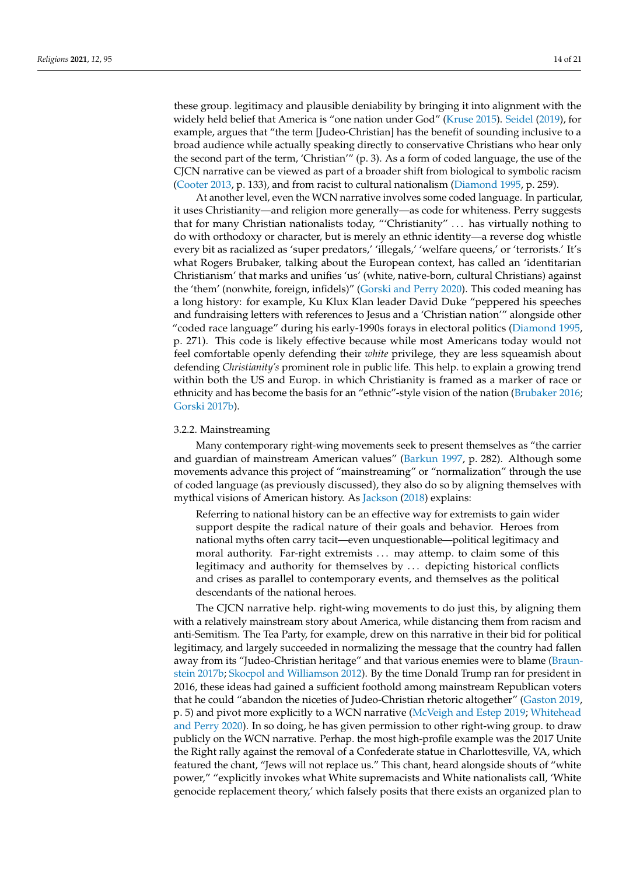these group. legitimacy and plausible deniability by bringing it into alignment with the widely held belief that America is "one nation under God" [\(Kruse](#page-19-0) [2015\)](#page-19-0). [Seidel](#page-20-0) [\(2019\)](#page-20-0), for example, argues that "the term [Judeo-Christian] has the benefit of sounding inclusive to a broad audience while actually speaking directly to conservative Christians who hear only the second part of the term, 'Christian'" (p. 3). As a form of coded language, the use of the CJCN narrative can be viewed as part of a broader shift from biological to symbolic racism [\(Cooter](#page-18-5) [2013,](#page-18-5) p. 133), and from racist to cultural nationalism [\(Diamond](#page-18-16) [1995,](#page-18-16) p. 259).

At another level, even the WCN narrative involves some coded language. In particular, it uses Christianity—and religion more generally—as code for whiteness. Perry suggests that for many Christian nationalists today, "'Christianity" . . . has virtually nothing to do with orthodoxy or character, but is merely an ethnic identity—a reverse dog whistle every bit as racialized as 'super predators,' 'illegals,' 'welfare queens,' or 'terrorists.' It's what Rogers Brubaker, talking about the European context, has called an 'identitarian Christianism' that marks and unifies 'us' (white, native-born, cultural Christians) against the 'them' (nonwhite, foreign, infidels)" [\(Gorski and Perry](#page-18-30) [2020\)](#page-18-30). This coded meaning has a long history: for example, Ku Klux Klan leader David Duke "peppered his speeches and fundraising letters with references to Jesus and a 'Christian nation'" alongside other "coded race language" during his early-1990s forays in electoral politics [\(Diamond](#page-18-16) [1995,](#page-18-16) p. 271). This code is likely effective because while most Americans today would not feel comfortable openly defending their *white* privilege, they are less squeamish about defending *Christianity's* prominent role in public life. This help. to explain a growing trend within both the US and Europ. in which Christianity is framed as a marker of race or ethnicity and has become the basis for an "ethnic"-style vision of the nation [\(Brubaker](#page-18-31) [2016;](#page-18-31) [Gorski](#page-18-32) [2017b\)](#page-18-32).

#### 3.2.2. Mainstreaming

Many contemporary right-wing movements seek to present themselves as "the carrier and guardian of mainstream American values" [\(Barkun](#page-17-3) [1997,](#page-17-3) p. 282). Although some movements advance this project of "mainstreaming" or "normalization" through the use of coded language (as previously discussed), they also do so by aligning themselves with mythical visions of American history. As [Jackson](#page-19-32) [\(2018\)](#page-19-32) explains:

Referring to national history can be an effective way for extremists to gain wider support despite the radical nature of their goals and behavior. Heroes from national myths often carry tacit—even unquestionable—political legitimacy and moral authority. Far-right extremists . . . may attemp. to claim some of this legitimacy and authority for themselves by . . . depicting historical conflicts and crises as parallel to contemporary events, and themselves as the political descendants of the national heroes.

The CJCN narrative help. right-wing movements to do just this, by aligning them with a relatively mainstream story about America, while distancing them from racism and anti-Semitism. The Tea Party, for example, drew on this narrative in their bid for political legitimacy, and largely succeeded in normalizing the message that the country had fallen away from its "Judeo-Christian heritage" and that various enemies were to blame [\(Braun](#page-18-1)[stein](#page-18-1) [2017b;](#page-18-1) [Skocpol and Williamson](#page-20-24) [2012\)](#page-20-24). By the time Donald Trump ran for president in 2016, these ideas had gained a sufficient foothold among mainstream Republican voters that he could "abandon the niceties of Judeo-Christian rhetoric altogether" [\(Gaston](#page-18-13) [2019,](#page-18-13) p. 5) and pivot more explicitly to a WCN narrative [\(McVeigh and Estep](#page-19-11) [2019;](#page-19-11) [Whitehead](#page-20-1) [and Perry](#page-20-1) [2020\)](#page-20-1). In so doing, he has given permission to other right-wing group. to draw publicly on the WCN narrative. Perhap. the most high-profile example was the 2017 Unite the Right rally against the removal of a Confederate statue in Charlottesville, VA, which featured the chant, "Jews will not replace us." This chant, heard alongside shouts of "white power," "explicitly invokes what White supremacists and White nationalists call, 'White genocide replacement theory,' which falsely posits that there exists an organized plan to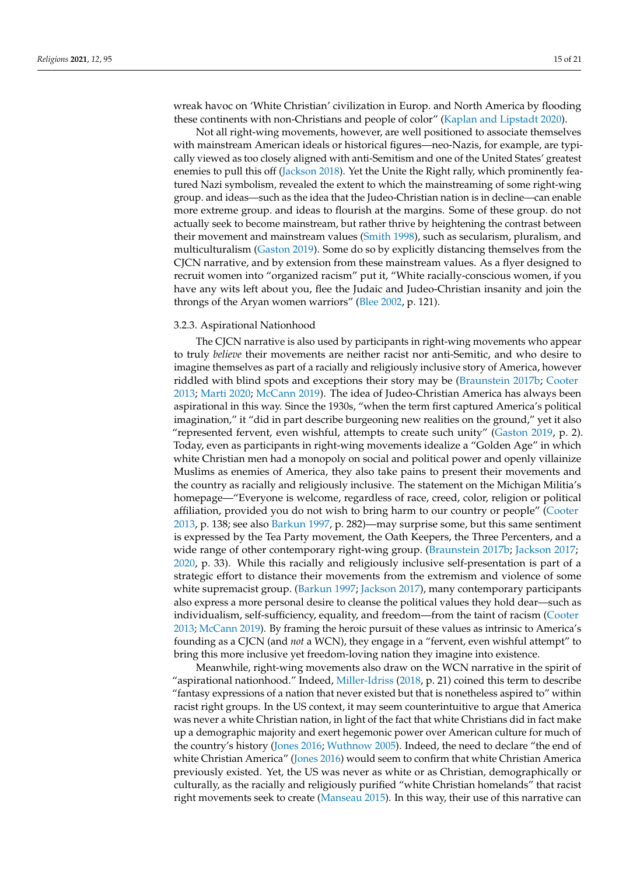wreak havoc on 'White Christian' civilization in Europ. and North America by flooding these continents with non-Christians and people of color" [\(Kaplan and Lipstadt](#page-19-33) [2020\)](#page-19-33).

Not all right-wing movements, however, are well positioned to associate themselves with mainstream American ideals or historical figures—neo-Nazis, for example, are typically viewed as too closely aligned with anti-Semitism and one of the United States' greatest enemies to pull this off [\(Jackson](#page-19-32) [2018\)](#page-19-32). Yet the Unite the Right rally, which prominently featured Nazi symbolism, revealed the extent to which the mainstreaming of some right-wing group. and ideas—such as the idea that the Judeo-Christian nation is in decline—can enable more extreme group. and ideas to flourish at the margins. Some of these group. do not actually seek to become mainstream, but rather thrive by heightening the contrast between their movement and mainstream values [\(Smith](#page-20-32) [1998\)](#page-20-32), such as secularism, pluralism, and multiculturalism [\(Gaston](#page-18-13) [2019\)](#page-18-13). Some do so by explicitly distancing themselves from the CJCN narrative, and by extension from these mainstream values. As a flyer designed to recruit women into "organized racism" put it, "White racially-conscious women, if you have any wits left about you, flee the Judaic and Judeo-Christian insanity and join the throngs of the Aryan women warriors" [\(Blee](#page-18-17) [2002,](#page-18-17) p. 121).

#### 3.2.3. Aspirational Nationhood

The CJCN narrative is also used by participants in right-wing movements who appear to truly *believe* their movements are neither racist nor anti-Semitic, and who desire to imagine themselves as part of a racially and religiously inclusive story of America, however riddled with blind spots and exceptions their story may be [\(Braunstein](#page-18-1) [2017b;](#page-18-1) [Cooter](#page-18-5) [2013;](#page-18-5) [Marti](#page-19-14) [2020;](#page-19-14) [McCann](#page-19-2) [2019\)](#page-19-2). The idea of Judeo-Christian America has always been aspirational in this way. Since the 1930s, "when the term first captured America's political imagination," it "did in part describe burgeoning new realities on the ground," yet it also "represented fervent, even wishful, attempts to create such unity" [\(Gaston](#page-18-13) [2019,](#page-18-13) p. 2). Today, even as participants in right-wing movements idealize a "Golden Age" in which white Christian men had a monopoly on social and political power and openly villainize Muslims as enemies of America, they also take pains to present their movements and the country as racially and religiously inclusive. The statement on the Michigan Militia's homepage—"Everyone is welcome, regardless of race, creed, color, religion or political affiliation, provided you do not wish to bring harm to our country or people" [\(Cooter](#page-18-5) [2013,](#page-18-5) p. 138; see also [Barkun](#page-17-3) [1997,](#page-17-3) p. 282)—may surprise some, but this same sentiment is expressed by the Tea Party movement, the Oath Keepers, the Three Percenters, and a wide range of other contemporary right-wing group. [\(Braunstein](#page-18-1) [2017b;](#page-18-1) [Jackson](#page-19-25) [2017;](#page-19-25) [2020,](#page-19-1) p. 33). While this racially and religiously inclusive self-presentation is part of a strategic effort to distance their movements from the extremism and violence of some white supremacist group. [\(Barkun](#page-17-3) [1997;](#page-17-3) [Jackson](#page-19-25) [2017\)](#page-19-25), many contemporary participants also express a more personal desire to cleanse the political values they hold dear—such as individualism, self-sufficiency, equality, and freedom—from the taint of racism [\(Cooter](#page-18-5) [2013;](#page-18-5) [McCann](#page-19-2) [2019\)](#page-19-2). By framing the heroic pursuit of these values as intrinsic to America's founding as a CJCN (and *not* a WCN), they engage in a "fervent, even wishful attempt" to bring this more inclusive yet freedom-loving nation they imagine into existence.

Meanwhile, right-wing movements also draw on the WCN narrative in the spirit of "aspirational nationhood." Indeed, [Miller-Idriss](#page-19-34) [\(2018,](#page-19-34) p. 21) coined this term to describe "fantasy expressions of a nation that never existed but that is nonetheless aspired to" within racist right groups. In the US context, it may seem counterintuitive to argue that America was never a white Christian nation, in light of the fact that white Christians did in fact make up a demographic majority and exert hegemonic power over American culture for much of the country's history [\(Jones](#page-19-23) [2016;](#page-19-23) [Wuthnow](#page-20-21) [2005\)](#page-20-21). Indeed, the need to declare "the end of white Christian America" [\(Jones](#page-19-23) [2016\)](#page-19-23) would seem to confirm that white Christian America previously existed. Yet, the US was never as white or as Christian, demographically or culturally, as the racially and religiously purified "white Christian homelands" that racist right movements seek to create [\(Manseau](#page-19-35) [2015\)](#page-19-35). In this way, their use of this narrative can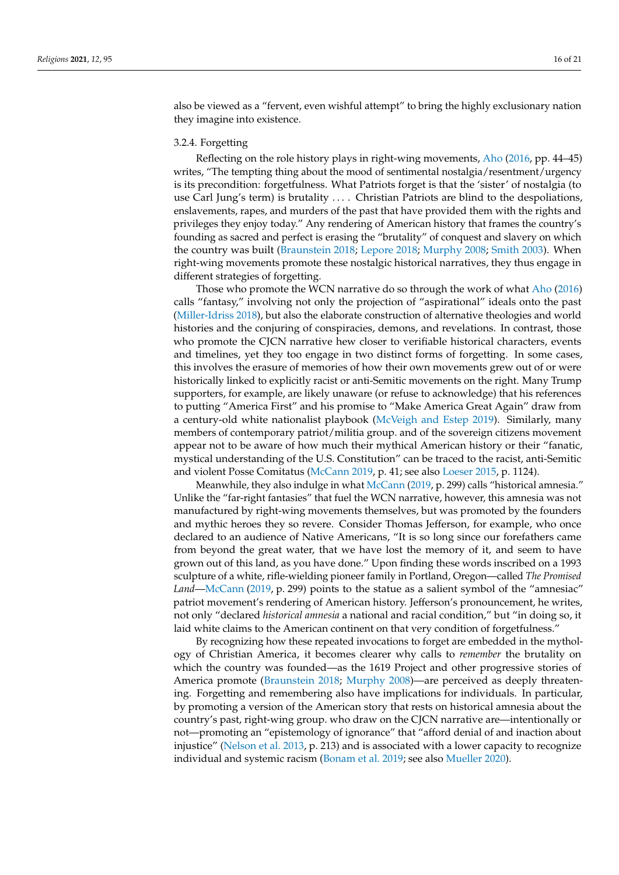also be viewed as a "fervent, even wishful attempt" to bring the highly exclusionary nation they imagine into existence.

#### 3.2.4. Forgetting

Reflecting on the role history plays in right-wing movements, [Aho](#page-17-0) [\(2016,](#page-17-0) pp. 44–45) writes, "The tempting thing about the mood of sentimental nostalgia/resentment/urgency is its precondition: forgetfulness. What Patriots forget is that the 'sister' of nostalgia (to use Carl Jung's term) is brutality .... Christian Patriots are blind to the despoliations, enslavements, rapes, and murders of the past that have provided them with the rights and privileges they enjoy today." Any rendering of American history that frames the country's founding as sacred and perfect is erasing the "brutality" of conquest and slavery on which the country was built [\(Braunstein](#page-18-2) [2018;](#page-18-2) [Lepore](#page-19-36) [2018;](#page-19-36) [Murphy](#page-19-9) [2008;](#page-19-9) [Smith](#page-20-3) [2003\)](#page-20-3). When right-wing movements promote these nostalgic historical narratives, they thus engage in different strategies of forgetting.

Those who promote the WCN narrative do so through the work of what [Aho](#page-17-0) [\(2016\)](#page-17-0) calls "fantasy," involving not only the projection of "aspirational" ideals onto the past [\(Miller-Idriss](#page-19-34) [2018\)](#page-19-34), but also the elaborate construction of alternative theologies and world histories and the conjuring of conspiracies, demons, and revelations. In contrast, those who promote the CJCN narrative hew closer to verifiable historical characters, events and timelines, yet they too engage in two distinct forms of forgetting. In some cases, this involves the erasure of memories of how their own movements grew out of or were historically linked to explicitly racist or anti-Semitic movements on the right. Many Trump supporters, for example, are likely unaware (or refuse to acknowledge) that his references to putting "America First" and his promise to "Make America Great Again" draw from a century-old white nationalist playbook [\(McVeigh and Estep](#page-19-11) [2019\)](#page-19-11). Similarly, many members of contemporary patriot/militia group. and of the sovereign citizens movement appear not to be aware of how much their mythical American history or their "fanatic, mystical understanding of the U.S. Constitution" can be traced to the racist, anti-Semitic and violent Posse Comitatus [\(McCann](#page-19-2) [2019,](#page-19-2) p. 41; see also [Loeser](#page-19-37) [2015,](#page-19-37) p. 1124).

Meanwhile, they also indulge in what [McCann](#page-19-2) [\(2019,](#page-19-2) p. 299) calls "historical amnesia." Unlike the "far-right fantasies" that fuel the WCN narrative, however, this amnesia was not manufactured by right-wing movements themselves, but was promoted by the founders and mythic heroes they so revere. Consider Thomas Jefferson, for example, who once declared to an audience of Native Americans, "It is so long since our forefathers came from beyond the great water, that we have lost the memory of it, and seem to have grown out of this land, as you have done." Upon finding these words inscribed on a 1993 sculpture of a white, rifle-wielding pioneer family in Portland, Oregon—called *The Promised* Land[—McCann](#page-19-2) [\(2019,](#page-19-2) p. 299) points to the statue as a salient symbol of the "amnesiac" patriot movement's rendering of American history. Jefferson's pronouncement, he writes, not only "declared *historical amnesia* a national and racial condition," but "in doing so, it laid white claims to the American continent on that very condition of forgetfulness."

By recognizing how these repeated invocations to forget are embedded in the mythology of Christian America, it becomes clearer why calls to *remember* the brutality on which the country was founded—as the 1619 Project and other progressive stories of America promote [\(Braunstein](#page-18-2) [2018;](#page-18-2) [Murphy](#page-19-9) [2008\)](#page-19-9)—are perceived as deeply threatening. Forgetting and remembering also have implications for individuals. In particular, by promoting a version of the American story that rests on historical amnesia about the country's past, right-wing group. who draw on the CJCN narrative are—intentionally or not—promoting an "epistemology of ignorance" that "afford denial of and inaction about injustice" [\(Nelson et al.](#page-20-11) [2013,](#page-20-11) p. 213) and is associated with a lower capacity to recognize individual and systemic racism [\(Bonam et al.](#page-18-14) [2019;](#page-18-14) see also [Mueller](#page-19-38) [2020\)](#page-19-38).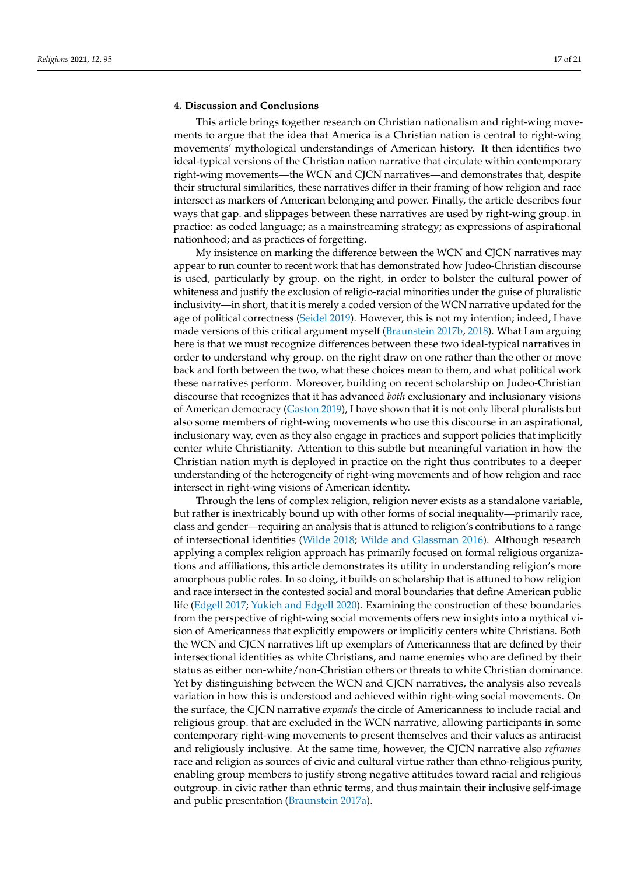### **4. Discussion and Conclusions**

This article brings together research on Christian nationalism and right-wing movements to argue that the idea that America is a Christian nation is central to right-wing movements' mythological understandings of American history. It then identifies two ideal-typical versions of the Christian nation narrative that circulate within contemporary right-wing movements—the WCN and CJCN narratives—and demonstrates that, despite their structural similarities, these narratives differ in their framing of how religion and race intersect as markers of American belonging and power. Finally, the article describes four ways that gap. and slippages between these narratives are used by right-wing group. in practice: as coded language; as a mainstreaming strategy; as expressions of aspirational nationhood; and as practices of forgetting.

My insistence on marking the difference between the WCN and CJCN narratives may appear to run counter to recent work that has demonstrated how Judeo-Christian discourse is used, particularly by group. on the right, in order to bolster the cultural power of whiteness and justify the exclusion of religio-racial minorities under the guise of pluralistic inclusivity—in short, that it is merely a coded version of the WCN narrative updated for the age of political correctness [\(Seidel](#page-20-0) [2019\)](#page-20-0). However, this is not my intention; indeed, I have made versions of this critical argument myself [\(Braunstein](#page-18-1) [2017b,](#page-18-1) [2018\)](#page-18-2). What I am arguing here is that we must recognize differences between these two ideal-typical narratives in order to understand why group. on the right draw on one rather than the other or move back and forth between the two, what these choices mean to them, and what political work these narratives perform. Moreover, building on recent scholarship on Judeo-Christian discourse that recognizes that it has advanced *both* exclusionary and inclusionary visions of American democracy [\(Gaston](#page-18-13) [2019\)](#page-18-13), I have shown that it is not only liberal pluralists but also some members of right-wing movements who use this discourse in an aspirational, inclusionary way, even as they also engage in practices and support policies that implicitly center white Christianity. Attention to this subtle but meaningful variation in how the Christian nation myth is deployed in practice on the right thus contributes to a deeper understanding of the heterogeneity of right-wing movements and of how religion and race intersect in right-wing visions of American identity.

Through the lens of complex religion, religion never exists as a standalone variable, but rather is inextricably bound up with other forms of social inequality—primarily race, class and gender—requiring an analysis that is attuned to religion's contributions to a range of intersectional identities [\(Wilde](#page-20-2) [2018;](#page-20-2) [Wilde and Glassman](#page-20-4) [2016\)](#page-20-4). Although research applying a complex religion approach has primarily focused on formal religious organizations and affiliations, this article demonstrates its utility in understanding religion's more amorphous public roles. In so doing, it builds on scholarship that is attuned to how religion and race intersect in the contested social and moral boundaries that define American public life [\(Edgell](#page-18-6) [2017;](#page-18-6) [Yukich and Edgell](#page-20-5) [2020\)](#page-20-5). Examining the construction of these boundaries from the perspective of right-wing social movements offers new insights into a mythical vision of Americanness that explicitly empowers or implicitly centers white Christians. Both the WCN and CJCN narratives lift up exemplars of Americanness that are defined by their intersectional identities as white Christians, and name enemies who are defined by their status as either non-white/non-Christian others or threats to white Christian dominance. Yet by distinguishing between the WCN and CJCN narratives, the analysis also reveals variation in how this is understood and achieved within right-wing social movements. On the surface, the CJCN narrative *expands* the circle of Americanness to include racial and religious group. that are excluded in the WCN narrative, allowing participants in some contemporary right-wing movements to present themselves and their values as antiracist and religiously inclusive. At the same time, however, the CJCN narrative also *reframes* race and religion as sources of civic and cultural virtue rather than ethno-religious purity, enabling group members to justify strong negative attitudes toward racial and religious outgroup. in civic rather than ethnic terms, and thus maintain their inclusive self-image and public presentation [\(Braunstein](#page-18-27) [2017a\)](#page-18-27).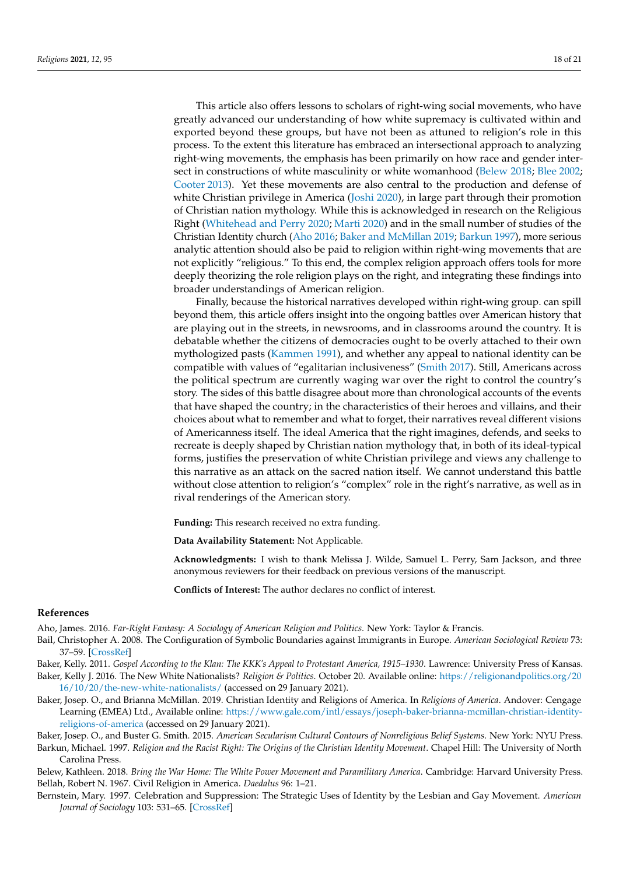This article also offers lessons to scholars of right-wing social movements, who have greatly advanced our understanding of how white supremacy is cultivated within and exported beyond these groups, but have not been as attuned to religion's role in this process. To the extent this literature has embraced an intersectional approach to analyzing right-wing movements, the emphasis has been primarily on how race and gender intersect in constructions of white masculinity or white womanhood [\(Belew](#page-17-1) [2018;](#page-17-1) [Blee](#page-18-17) [2002;](#page-18-17) [Cooter](#page-18-5) [2013\)](#page-18-5). Yet these movements are also central to the production and defense of white Christian privilege in America [\(Joshi](#page-19-7) [2020\)](#page-19-7), in large part through their promotion of Christian nation mythology. While this is acknowledged in research on the Religious Right [\(Whitehead and Perry](#page-20-1) [2020;](#page-20-1) [Marti](#page-19-14) [2020\)](#page-19-14) and in the small number of studies of the Christian Identity church [\(Aho](#page-17-0) [2016;](#page-17-0) [Baker and McMillan](#page-17-2) [2019;](#page-17-2) [Barkun](#page-17-3) [1997\)](#page-17-3), more serious analytic attention should also be paid to religion within right-wing movements that are not explicitly "religious." To this end, the complex religion approach offers tools for more deeply theorizing the role religion plays on the right, and integrating these findings into broader understandings of American religion.

Finally, because the historical narratives developed within right-wing group. can spill beyond them, this article offers insight into the ongoing battles over American history that are playing out in the streets, in newsrooms, and in classrooms around the country. It is debatable whether the citizens of democracies ought to be overly attached to their own mythologized pasts [\(Kammen](#page-19-8) [1991\)](#page-19-8), and whether any appeal to national identity can be compatible with values of "egalitarian inclusiveness" [\(Smith](#page-20-19) [2017\)](#page-20-19). Still, Americans across the political spectrum are currently waging war over the right to control the country's story. The sides of this battle disagree about more than chronological accounts of the events that have shaped the country; in the characteristics of their heroes and villains, and their choices about what to remember and what to forget, their narratives reveal different visions of Americanness itself. The ideal America that the right imagines, defends, and seeks to recreate is deeply shaped by Christian nation mythology that, in both of its ideal-typical forms, justifies the preservation of white Christian privilege and views any challenge to this narrative as an attack on the sacred nation itself. We cannot understand this battle without close attention to religion's "complex" role in the right's narrative, as well as in rival renderings of the American story.

**Funding:** This research received no extra funding.

**Data Availability Statement:** Not Applicable.

**Acknowledgments:** I wish to thank Melissa J. Wilde, Samuel L. Perry, Sam Jackson, and three anonymous reviewers for their feedback on previous versions of the manuscript.

**Conflicts of Interest:** The author declares no conflict of interest.

#### **References**

<span id="page-17-0"></span>Aho, James. 2016. *Far-Right Fantasy: A Sociology of American Religion and Politics*. New York: Taylor & Francis.

- <span id="page-17-5"></span>Bail, Christopher A. 2008. The Configuration of Symbolic Boundaries against Immigrants in Europe. *American Sociological Review* 73: 37–59. [\[CrossRef\]](http://doi.org/10.1177/000312240807300103)
- <span id="page-17-4"></span>Baker, Kelly. 2011. *Gospel According to the Klan: The KKK's Appeal to Protestant America, 1915–1930*. Lawrence: University Press of Kansas.

<span id="page-17-7"></span>Baker, Kelly J. 2016. The New White Nationalists? *Religion & Politics*. October 20. Available online: [https://religionandpolitics.org/20](https://religionandpolitics.org/2016/10/20/the-new-white-nationalists/) [16/10/20/the-new-white-nationalists/](https://religionandpolitics.org/2016/10/20/the-new-white-nationalists/) (accessed on 29 January 2021).

<span id="page-17-2"></span>Baker, Josep. O., and Brianna McMillan. 2019. Christian Identity and Religions of America. In *Religions of America*. Andover: Cengage Learning (EMEA) Ltd., Available online: [https://www.gale.com/intl/essays/joseph-baker-brianna-mcmillan-christian-identity](https://www.gale.com/intl/essays/joseph-baker-brianna-mcmillan-christian-identity-religions-of-america)[religions-of-america](https://www.gale.com/intl/essays/joseph-baker-brianna-mcmillan-christian-identity-religions-of-america) (accessed on 29 January 2021).

<span id="page-17-8"></span>Baker, Josep. O., and Buster G. Smith. 2015. *American Secularism Cultural Contours of Nonreligious Belief Systems*. New York: NYU Press.

<span id="page-17-3"></span>Barkun, Michael. 1997. *Religion and the Racist Right: The Origins of the Christian Identity Movement*. Chapel Hill: The University of North Carolina Press.

<span id="page-17-6"></span><span id="page-17-1"></span>Belew, Kathleen. 2018. *Bring the War Home: The White Power Movement and Paramilitary America*. Cambridge: Harvard University Press. Bellah, Robert N. 1967. Civil Religion in America. *Daedalus* 96: 1–21.

<span id="page-17-9"></span>Bernstein, Mary. 1997. Celebration and Suppression: The Strategic Uses of Identity by the Lesbian and Gay Movement. *American Journal of Sociology* 103: 531–65. [\[CrossRef\]](http://doi.org/10.1086/231250)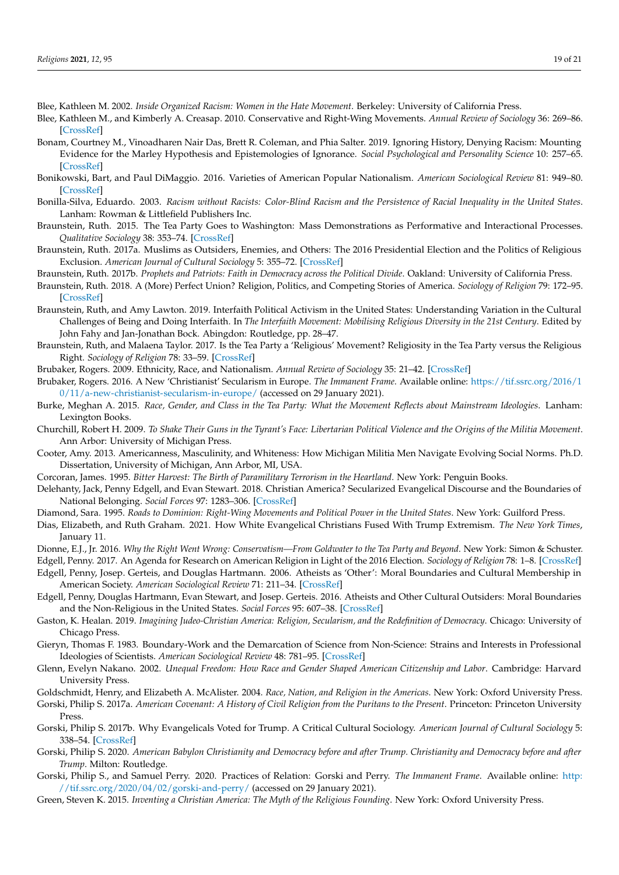- <span id="page-18-17"></span>Blee, Kathleen M. 2002. *Inside Organized Racism: Women in the Hate Movement*. Berkeley: University of California Press.
- <span id="page-18-15"></span>Blee, Kathleen M., and Kimberly A. Creasap. 2010. Conservative and Right-Wing Movements. *Annual Review of Sociology* 36: 269–86. [\[CrossRef\]](http://doi.org/10.1146/annurev.soc.012809.102602)
- <span id="page-18-14"></span>Bonam, Courtney M., Vinoadharen Nair Das, Brett R. Coleman, and Phia Salter. 2019. Ignoring History, Denying Racism: Mounting Evidence for the Marley Hypothesis and Epistemologies of Ignorance. *Social Psychological and Personality Science* 10: 257–65. [\[CrossRef\]](http://doi.org/10.1177/1948550617751583)
- <span id="page-18-18"></span>Bonikowski, Bart, and Paul DiMaggio. 2016. Varieties of American Popular Nationalism. *American Sociological Review* 81: 949–80. [\[CrossRef\]](http://doi.org/10.1177/0003122416663683)
- <span id="page-18-29"></span>Bonilla-Silva, Eduardo. 2003. *Racism without Racists: Color-Blind Racism and the Persistence of Racial Inequality in the United States*. Lanham: Rowman & Littlefield Publishers Inc.
- <span id="page-18-26"></span>Braunstein, Ruth. 2015. The Tea Party Goes to Washington: Mass Demonstrations as Performative and Interactional Processes. *Qualitative Sociology* 38: 353–74. [\[CrossRef\]](http://doi.org/10.1007/s11133-015-9314-3)
- <span id="page-18-27"></span>Braunstein, Ruth. 2017a. Muslims as Outsiders, Enemies, and Others: The 2016 Presidential Election and the Politics of Religious Exclusion. *American Journal of Cultural Sociology* 5: 355–72. [\[CrossRef\]](http://doi.org/10.1057/s41290-017-0042-x)
- <span id="page-18-1"></span>Braunstein, Ruth. 2017b. *Prophets and Patriots: Faith in Democracy across the Political Divide*. Oakland: University of California Press.
- <span id="page-18-2"></span>Braunstein, Ruth. 2018. A (More) Perfect Union? Religion, Politics, and Competing Stories of America. *Sociology of Religion* 79: 172–95. [\[CrossRef\]](http://doi.org/10.1093/socrel/sry013)
- <span id="page-18-23"></span>Braunstein, Ruth, and Amy Lawton. 2019. Interfaith Political Activism in the United States: Understanding Variation in the Cultural Challenges of Being and Doing Interfaith. In *The Interfaith Movement: Mobilising Religious Diversity in the 21st Century*. Edited by John Fahy and Jan-Jonathan Bock. Abingdon: Routledge, pp. 28–47.
- <span id="page-18-7"></span>Braunstein, Ruth, and Malaena Taylor. 2017. Is the Tea Party a 'Religious' Movement? Religiosity in the Tea Party versus the Religious Right. *Sociology of Religion* 78: 33–59. [\[CrossRef\]](http://doi.org/10.1093/socrel/srw056)

<span id="page-18-19"></span>Brubaker, Rogers. 2009. Ethnicity, Race, and Nationalism. *Annual Review of Sociology* 35: 21–42. [\[CrossRef\]](http://doi.org/10.1146/annurev-soc-070308-115916)

- <span id="page-18-31"></span>Brubaker, Rogers. 2016. A New 'Christianist' Secularism in Europe. *The Immanent Frame*. Available online: [https://tif.ssrc.org/2016/1](https://tif.ssrc.org/2016/10/11/a-new-christianist-secularism-in-europe/) [0/11/a-new-christianist-secularism-in-europe/](https://tif.ssrc.org/2016/10/11/a-new-christianist-secularism-in-europe/) (accessed on 29 January 2021).
- <span id="page-18-25"></span>Burke, Meghan A. 2015. *Race, Gender, and Class in the Tea Party: What the Movement Reflects about Mainstream Ideologies*. Lanham: Lexington Books.
- <span id="page-18-22"></span>Churchill, Robert H. 2009. *To Shake Their Guns in the Tyrant's Face: Libertarian Political Violence and the Origins of the Militia Movement*. Ann Arbor: University of Michigan Press.
- <span id="page-18-5"></span>Cooter, Amy. 2013. Americanness, Masculinity, and Whiteness: How Michigan Militia Men Navigate Evolving Social Norms. Ph.D. Dissertation, University of Michigan, Ann Arbor, MI, USA.
- <span id="page-18-24"></span>Corcoran, James. 1995. *Bitter Harvest: The Birth of Paramilitary Terrorism in the Heartland*. New York: Penguin Books.
- <span id="page-18-8"></span>Delehanty, Jack, Penny Edgell, and Evan Stewart. 2018. Christian America? Secularized Evangelical Discourse and the Boundaries of National Belonging. *Social Forces* 97: 1283–306. [\[CrossRef\]](http://doi.org/10.1093/sf/soy080)
- <span id="page-18-16"></span>Diamond, Sara. 1995. *Roads to Dominion: Right-Wing Movements and Political Power in the United States*. New York: Guilford Press.
- <span id="page-18-0"></span>Dias, Elizabeth, and Ruth Graham. 2021. How White Evangelical Christians Fused With Trump Extremism. *The New York Times*, January 11.
- <span id="page-18-21"></span>Dionne, E.J., Jr. 2016. *Why the Right Went Wrong: Conservatism—From Goldwater to the Tea Party and Beyond*. New York: Simon & Schuster.
- <span id="page-18-10"></span><span id="page-18-6"></span>Edgell, Penny. 2017. An Agenda for Research on American Religion in Light of the 2016 Election. *Sociology of Religion* 78: 1–8. [\[CrossRef\]](http://doi.org/10.1093/socrel/srw057) Edgell, Penny, Josep. Gerteis, and Douglas Hartmann. 2006. Atheists as 'Other': Moral Boundaries and Cultural Membership in American Society. *American Sociological Review* 71: 211–34. [\[CrossRef\]](http://doi.org/10.1177/000312240607100203)
- <span id="page-18-9"></span>Edgell, Penny, Douglas Hartmann, Evan Stewart, and Josep. Gerteis. 2016. Atheists and Other Cultural Outsiders: Moral Boundaries and the Non-Religious in the United States. *Social Forces* 95: 607–38. [\[CrossRef\]](http://doi.org/10.1093/sf/sow063)
- <span id="page-18-13"></span>Gaston, K. Healan. 2019. *Imagining Judeo-Christian America: Religion, Secularism, and the Redefinition of Democracy*. Chicago: University of Chicago Press.
- <span id="page-18-28"></span>Gieryn, Thomas F. 1983. Boundary-Work and the Demarcation of Science from Non-Science: Strains and Interests in Professional Ideologies of Scientists. *American Sociological Review* 48: 781–95. [\[CrossRef\]](http://doi.org/10.2307/2095325)
- <span id="page-18-20"></span>Glenn, Evelyn Nakano. 2002. *Unequal Freedom: How Race and Gender Shaped American Citizenship and Labor*. Cambridge: Harvard University Press.

<span id="page-18-11"></span>Goldschmidt, Henry, and Elizabeth A. McAlister. 2004. *Race, Nation, and Religion in the Americas*. New York: Oxford University Press.

<span id="page-18-3"></span>Gorski, Philip S. 2017a. *American Covenant: A History of Civil Religion from the Puritans to the Present*. Princeton: Princeton University Press.

- <span id="page-18-32"></span>Gorski, Philip S. 2017b. Why Evangelicals Voted for Trump. A Critical Cultural Sociology. *American Journal of Cultural Sociology* 5: 338–54. [\[CrossRef\]](http://doi.org/10.1057/s41290-017-0043-9)
- <span id="page-18-12"></span>Gorski, Philip S. 2020. *American Babylon Christianity and Democracy before and after Trump. Christianity and Democracy before and after Trump*. Milton: Routledge.
- <span id="page-18-30"></span>Gorski, Philip S., and Samuel Perry. 2020. Practices of Relation: Gorski and Perry. *The Immanent Frame*. Available online: [http:](http://tif.ssrc.org/2020/04/02/gorski-and-perry/) [//tif.ssrc.org/2020/04/02/gorski-and-perry/](http://tif.ssrc.org/2020/04/02/gorski-and-perry/) (accessed on 29 January 2021).
- <span id="page-18-4"></span>Green, Steven K. 2015. *Inventing a Christian America: The Myth of the Religious Founding*. New York: Oxford University Press.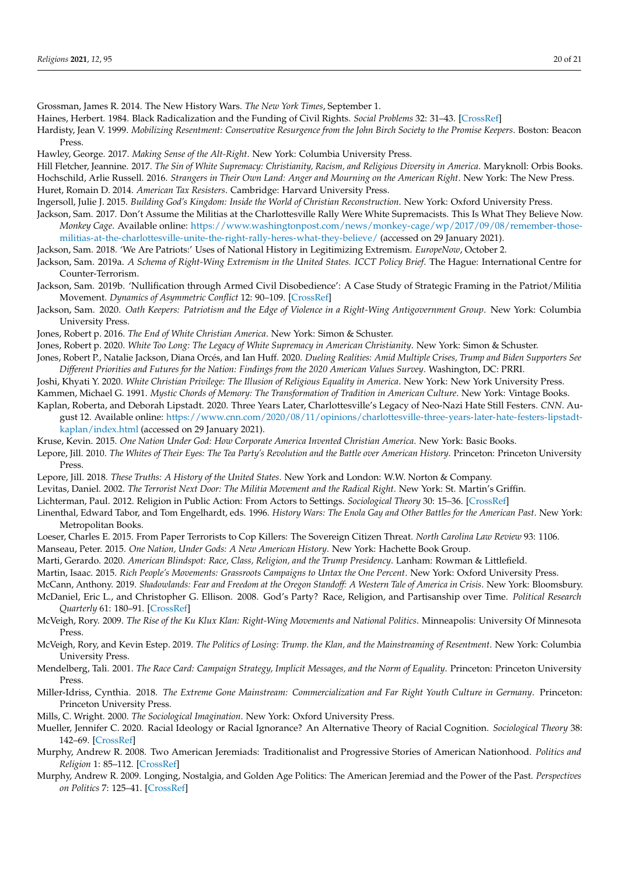<span id="page-19-20"></span>Grossman, James R. 2014. The New History Wars. *The New York Times*, September 1.

<span id="page-19-30"></span>Haines, Herbert. 1984. Black Radicalization and the Funding of Civil Rights. *Social Problems* 32: 31–43. [\[CrossRef\]](http://doi.org/10.2307/800260)

<span id="page-19-15"></span>Hardisty, Jean V. 1999. *Mobilizing Resentment: Conservative Resurgence from the John Birch Society to the Promise Keepers*. Boston: Beacon Press.

<span id="page-19-26"></span>Hawley, George. 2017. *Making Sense of the Alt-Right*. New York: Columbia University Press.

<span id="page-19-17"></span><span id="page-19-5"></span>Hill Fletcher, Jeannine. 2017. *The Sin of White Supremacy: Christianity, Racism, and Religious Diversity in America*. Maryknoll: Orbis Books. Hochschild, Arlie Russell. 2016. *Strangers in Their Own Land: Anger and Mourning on the American Right*. New York: The New Press. Huret, Romain D. 2014. *American Tax Resisters*. Cambridge: Harvard University Press.

<span id="page-19-28"></span><span id="page-19-13"></span>Ingersoll, Julie J. 2015. *Building God's Kingdom: Inside the World of Christian Reconstruction*. New York: Oxford University Press.

<span id="page-19-25"></span>Jackson, Sam. 2017. Don't Assume the Militias at the Charlottesville Rally Were White Supremacists. This Is What They Believe Now. *Monkey Cage*. Available online: [https://www.washingtonpost.com/news/monkey-cage/wp/2017/09/08/remember-those](https://www.washingtonpost.com/news/monkey-cage/wp/2017/09/08/remember-those-militias-at-the-charlottesville-unite-the-right-rally-heres-what-they-believe/)[militias-at-the-charlottesville-unite-the-right-rally-heres-what-they-believe/](https://www.washingtonpost.com/news/monkey-cage/wp/2017/09/08/remember-those-militias-at-the-charlottesville-unite-the-right-rally-heres-what-they-believe/) (accessed on 29 January 2021).

<span id="page-19-32"></span>Jackson, Sam. 2018. 'We Are Patriots:' Uses of National History in Legitimizing Extremism. *EuropeNow*, October 2.

- <span id="page-19-12"></span>Jackson, Sam. 2019a. *A Schema of Right-Wing Extremism in the United States. ICCT Policy Brief*. The Hague: International Centre for Counter-Terrorism.
- <span id="page-19-27"></span>Jackson, Sam. 2019b. 'Nullification through Armed Civil Disobedience': A Case Study of Strategic Framing in the Patriot/Militia Movement. *Dynamics of Asymmetric Conflict* 12: 90–109. [\[CrossRef\]](http://doi.org/10.1080/17467586.2018.1563904)
- <span id="page-19-1"></span>Jackson, Sam. 2020. *Oath Keepers: Patriotism and the Edge of Violence in a Right-Wing Antigovernment Group*. New York: Columbia University Press.

<span id="page-19-23"></span>Jones, Robert p. 2016. *The End of White Christian America*. New York: Simon & Schuster.

<span id="page-19-6"></span>Jones, Robert p. 2020. *White Too Long: The Legacy of White Supremacy in American Christianity*. New York: Simon & Schuster.

- <span id="page-19-21"></span>Jones, Robert P., Natalie Jackson, Diana Orcés, and Ian Huff. 2020. *Dueling Realities: Amid Multiple Crises, Trump and Biden Supporters See Different Priorities and Futures for the Nation: Findings from the 2020 American Values Survey*. Washington, DC: PRRI.
- <span id="page-19-8"></span><span id="page-19-7"></span>Joshi, Khyati Y. 2020. *White Christian Privilege: The Illusion of Religious Equality in America*. New York: New York University Press.
- Kammen, Michael G. 1991. *Mystic Chords of Memory: The Transformation of Tradition in American Culture*. New York: Vintage Books.

<span id="page-19-33"></span>Kaplan, Roberta, and Deborah Lipstadt. 2020. Three Years Later, Charlottesville's Legacy of Neo-Nazi Hate Still Festers. *CNN*. August 12. Available online: [https://www.cnn.com/2020/08/11/opinions/charlottesville-three-years-later-hate-festers-lipstadt](https://www.cnn.com/2020/08/11/opinions/charlottesville-three-years-later-hate-festers-lipstadt-kaplan/index.html)[kaplan/index.html](https://www.cnn.com/2020/08/11/opinions/charlottesville-three-years-later-hate-festers-lipstadt-kaplan/index.html) (accessed on 29 January 2021).

- <span id="page-19-0"></span>Kruse, Kevin. 2015. *One Nation Under God: How Corporate America Invented Christian America*. New York: Basic Books.
- <span id="page-19-22"></span>Lepore, Jill. 2010. *The Whites of Their Eyes: The Tea Party's Revolution and the Battle over American History*. Princeton: Princeton University Press.
- <span id="page-19-36"></span>Lepore, Jill. 2018. *These Truths: A History of the United States*. New York and London: W.W. Norton & Company.
- <span id="page-19-24"></span><span id="page-19-4"></span>Levitas, Daniel. 2002. *The Terrorist Next Door: The Militia Movement and the Radical Right*. New York: St. Martin's Griffin.

Lichterman, Paul. 2012. Religion in Public Action: From Actors to Settings. *Sociological Theory* 30: 15–36. [\[CrossRef\]](http://doi.org/10.1177/0735275112437164)

- <span id="page-19-19"></span>Linenthal, Edward Tabor, and Tom Engelhardt, eds. 1996. *History Wars: The Enola Gay and Other Battles for the American Past*. New York: Metropolitan Books.
- <span id="page-19-37"></span>Loeser, Charles E. 2015. From Paper Terrorists to Cop Killers: The Sovereign Citizen Threat. *North Carolina Law Review* 93: 1106.

<span id="page-19-35"></span>Manseau, Peter. 2015. *One Nation, Under Gods: A New American History*. New York: Hachette Book Group.

<span id="page-19-14"></span>Marti, Gerardo. 2020. *American Blindspot: Race, Class, Religion, and the Trump Presidency*. Lanham: Rowman & Littlefield.

<span id="page-19-29"></span>Martin, Isaac. 2015. *Rich People's Movements: Grassroots Campaigns to Untax the One Percent*. New York: Oxford University Press.

- <span id="page-19-3"></span><span id="page-19-2"></span>McCann, Anthony. 2019. *Shadowlands: Fear and Freedom at the Oregon Standoff: A Western Tale of America in Crisis*. New York: Bloomsbury. McDaniel, Eric L., and Christopher G. Ellison. 2008. God's Party? Race, Religion, and Partisanship over Time. *Political Research Quarterly* 61: 180–91. [\[CrossRef\]](http://doi.org/10.1177/1065912908314197)
- <span id="page-19-10"></span>McVeigh, Rory. 2009. *The Rise of the Ku Klux Klan: Right-Wing Movements and National Politics*. Minneapolis: University Of Minnesota Press.
- <span id="page-19-11"></span>McVeigh, Rory, and Kevin Estep. 2019. *The Politics of Losing: Trump. the Klan, and the Mainstreaming of Resentment*. New York: Columbia University Press.
- <span id="page-19-31"></span>Mendelberg, Tali. 2001. *The Race Card: Campaign Strategy, Implicit Messages, and the Norm of Equality*. Princeton: Princeton University Press.

<span id="page-19-34"></span>Miller-Idriss, Cynthia. 2018. *The Extreme Gone Mainstream: Commercialization and Far Right Youth Culture in Germany*. Princeton: Princeton University Press.

<span id="page-19-16"></span>Mills, C. Wright. 2000. *The Sociological Imagination*. New York: Oxford University Press.

- <span id="page-19-38"></span>Mueller, Jennifer C. 2020. Racial Ideology or Racial Ignorance? An Alternative Theory of Racial Cognition. *Sociological Theory* 38: 142–69. [\[CrossRef\]](http://doi.org/10.1177/0735275120926197)
- <span id="page-19-9"></span>Murphy, Andrew R. 2008. Two American Jeremiads: Traditionalist and Progressive Stories of American Nationhood. *Politics and Religion* 1: 85–112. [\[CrossRef\]](http://doi.org/10.1017/S1755048308000059)
- <span id="page-19-18"></span>Murphy, Andrew R. 2009. Longing, Nostalgia, and Golden Age Politics: The American Jeremiad and the Power of the Past. *Perspectives on Politics* 7: 125–41. [\[CrossRef\]](http://doi.org/10.1017/S1537592709090148)